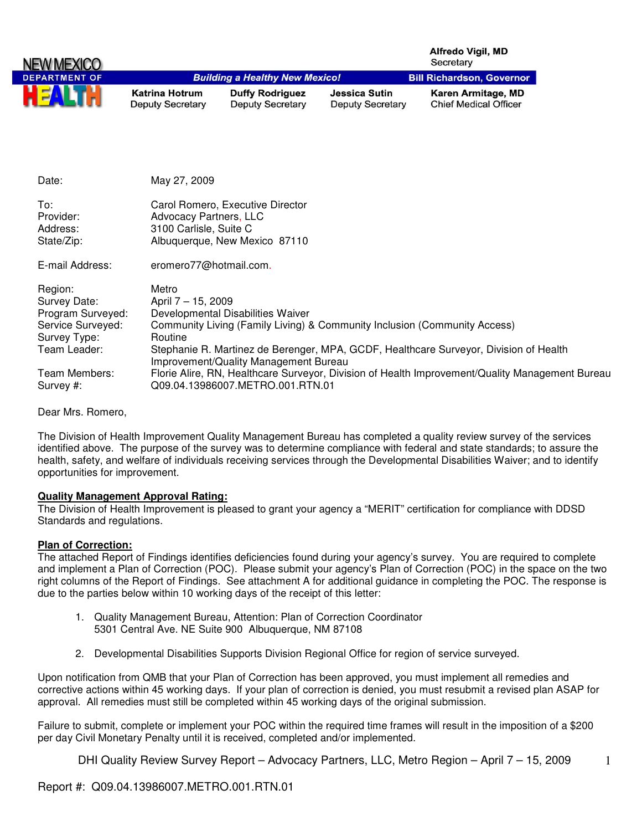|                                                     |                                                                                                                       |                                                   |                                          | <b>Alfredo Vigil, MD</b><br>Secretary              |
|-----------------------------------------------------|-----------------------------------------------------------------------------------------------------------------------|---------------------------------------------------|------------------------------------------|----------------------------------------------------|
| <b>DEPARTMENT OF</b>                                |                                                                                                                       | <b>Building a Healthy New Mexico!</b>             |                                          | <b>Bill Richardson, Governor</b>                   |
|                                                     | <b>Katrina Hotrum</b><br><b>Deputy Secretary</b>                                                                      | <b>Duffy Rodriguez</b><br><b>Deputy Secretary</b> | Jessica Sutin<br><b>Deputy Secretary</b> | Karen Armitage, MD<br><b>Chief Medical Officer</b> |
| Date:                                               | May 27, 2009                                                                                                          |                                                   |                                          |                                                    |
| To:<br>Provider:<br>Address:<br>State/Zip:          | Carol Romero, Executive Director<br>Advocacy Partners, LLC<br>3100 Carlisle, Suite C<br>Albuquerque, New Mexico 87110 |                                                   |                                          |                                                    |
| E-mail Address:                                     | eromero77@hotmail.com.                                                                                                |                                                   |                                          |                                                    |
| Region:<br>Survey Date:<br><b>Drogram Survoyed:</b> | Metro<br>April 7 - 15, 2009<br>Dovelopmental Disabilities Waiver                                                      |                                                   |                                          |                                                    |

| Juivey Dale.               | $A$ pili $I = 10$ , 2009                                                                                                            |
|----------------------------|-------------------------------------------------------------------------------------------------------------------------------------|
| Program Surveyed:          | Developmental Disabilities Waiver                                                                                                   |
| Service Surveyed:          | Community Living (Family Living) & Community Inclusion (Community Access)                                                           |
| Survey Type:               | <b>Routine</b>                                                                                                                      |
| Team Leader:               | Stephanie R. Martinez de Berenger, MPA, GCDF, Healthcare Surveyor, Division of Health<br>Improvement/Quality Management Bureau      |
| Team Members:<br>Survey #: | Florie Alire, RN, Healthcare Surveyor, Division of Health Improvement/Quality Management Bureau<br>Q09.04.13986007.METRO.001.RTN.01 |

Dear Mrs. Romero,

The Division of Health Improvement Quality Management Bureau has completed a quality review survey of the services identified above. The purpose of the survey was to determine compliance with federal and state standards; to assure the health, safety, and welfare of individuals receiving services through the Developmental Disabilities Waiver; and to identify opportunities for improvement.

## **Quality Management Approval Rating:**

The Division of Health Improvement is pleased to grant your agency a "MERIT" certification for compliance with DDSD Standards and regulations.

## **Plan of Correction:**

The attached Report of Findings identifies deficiencies found during your agency's survey. You are required to complete and implement a Plan of Correction (POC). Please submit your agency's Plan of Correction (POC) in the space on the two right columns of the Report of Findings. See attachment A for additional guidance in completing the POC. The response is due to the parties below within 10 working days of the receipt of this letter:

- 1. Quality Management Bureau, Attention: Plan of Correction Coordinator 5301 Central Ave. NE Suite 900 Albuquerque, NM 87108
- 2. Developmental Disabilities Supports Division Regional Office for region of service surveyed.

Upon notification from QMB that your Plan of Correction has been approved, you must implement all remedies and corrective actions within 45 working days. If your plan of correction is denied, you must resubmit a revised plan ASAP for approval. All remedies must still be completed within 45 working days of the original submission.

Failure to submit, complete or implement your POC within the required time frames will result in the imposition of a \$200 per day Civil Monetary Penalty until it is received, completed and/or implemented.

DHI Quality Review Survey Report – Advocacy Partners, LLC, Metro Region – April 7 – 15, 2009

1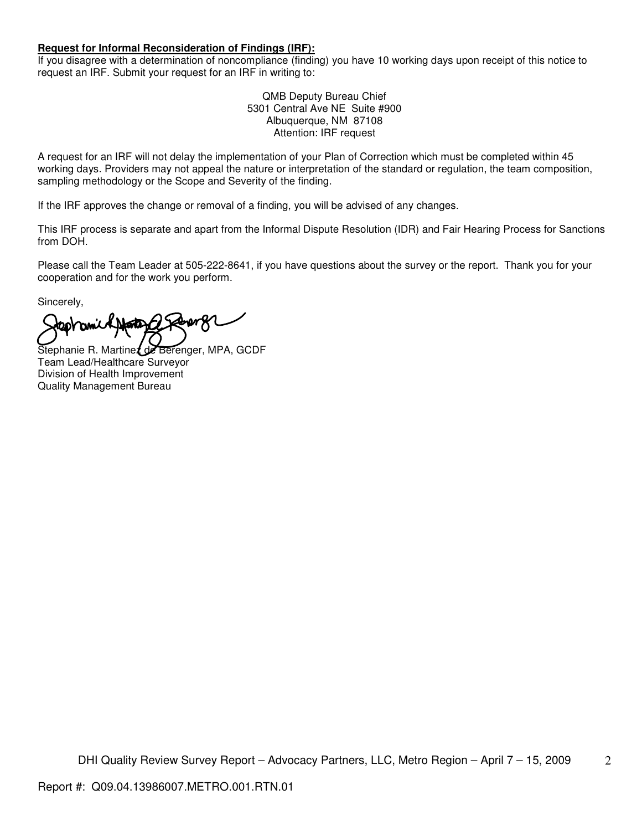## **Request for Informal Reconsideration of Findings (IRF):**

If you disagree with a determination of noncompliance (finding) you have 10 working days upon receipt of this notice to request an IRF. Submit your request for an IRF in writing to:

> QMB Deputy Bureau Chief 5301 Central Ave NE Suite #900 Albuquerque, NM 87108 Attention: IRF request

A request for an IRF will not delay the implementation of your Plan of Correction which must be completed within 45 working days. Providers may not appeal the nature or interpretation of the standard or regulation, the team composition, sampling methodology or the Scope and Severity of the finding.

If the IRF approves the change or removal of a finding, you will be advised of any changes.

This IRF process is separate and apart from the Informal Dispute Resolution (IDR) and Fair Hearing Process for Sanctions from DOH.

Please call the Team Leader at 505-222-8641, if you have questions about the survey or the report. Thank you for your cooperation and for the work you perform.

Sincerely,

**taovami** 

Stephanie R. Martinez de Berenger, MPA, GCDF Team Lead/Healthcare Surveyor Division of Health Improvement Quality Management Bureau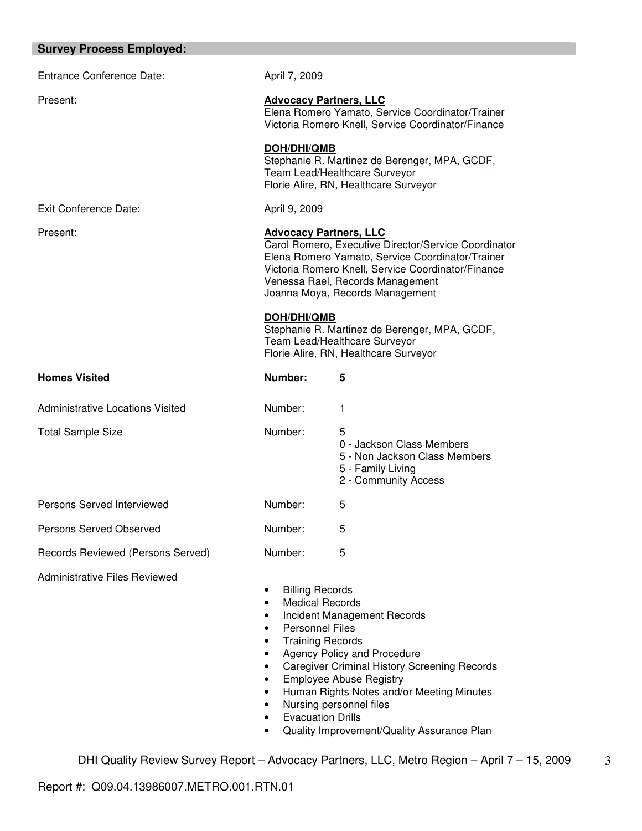| <b>Survey Process Employed:</b>         |                                                                                                                                                                                                                                                                        |                                                                                                                                                                                                                             |
|-----------------------------------------|------------------------------------------------------------------------------------------------------------------------------------------------------------------------------------------------------------------------------------------------------------------------|-----------------------------------------------------------------------------------------------------------------------------------------------------------------------------------------------------------------------------|
| <b>Entrance Conference Date:</b>        | April 7, 2009                                                                                                                                                                                                                                                          |                                                                                                                                                                                                                             |
| Present:                                | <b>Advocacy Partners, LLC</b>                                                                                                                                                                                                                                          | Elena Romero Yamato, Service Coordinator/Trainer<br>Victoria Romero Knell, Service Coordinator/Finance                                                                                                                      |
|                                         | <b>DOH/DHI/QMB</b>                                                                                                                                                                                                                                                     | Stephanie R. Martinez de Berenger, MPA, GCDF,<br>Team Lead/Healthcare Surveyor<br>Florie Alire, RN, Healthcare Surveyor                                                                                                     |
| <b>Exit Conference Date:</b>            | April 9, 2009                                                                                                                                                                                                                                                          |                                                                                                                                                                                                                             |
| Present:                                | <b>Advocacy Partners, LLC</b><br>Carol Romero, Executive Director/Service Coordinator<br>Elena Romero Yamato, Service Coordinator/Trainer<br>Victoria Romero Knell, Service Coordinator/Finance<br>Venessa Rael, Records Management<br>Joanna Moya, Records Management |                                                                                                                                                                                                                             |
|                                         | <b>DOH/DHI/QMB</b>                                                                                                                                                                                                                                                     | Stephanie R. Martinez de Berenger, MPA, GCDF,<br>Team Lead/Healthcare Surveyor<br>Florie Alire, RN, Healthcare Surveyor                                                                                                     |
| <b>Homes Visited</b>                    | Number:                                                                                                                                                                                                                                                                | 5                                                                                                                                                                                                                           |
| <b>Administrative Locations Visited</b> | Number:                                                                                                                                                                                                                                                                | 1                                                                                                                                                                                                                           |
| <b>Total Sample Size</b>                | Number:                                                                                                                                                                                                                                                                | 5<br>0 - Jackson Class Members<br>5 - Non Jackson Class Members<br>5 - Family Living<br>2 - Community Access                                                                                                                |
| Persons Served Interviewed              | Number:                                                                                                                                                                                                                                                                | 5                                                                                                                                                                                                                           |
| Persons Served Observed                 | Number:                                                                                                                                                                                                                                                                | 5                                                                                                                                                                                                                           |
| Records Reviewed (Persons Served)       | Number:                                                                                                                                                                                                                                                                | 5                                                                                                                                                                                                                           |
| <b>Administrative Files Reviewed</b>    | <b>Billing Records</b><br>٠<br><b>Medical Records</b><br>$\bullet$<br>$\bullet$<br><b>Personnel Files</b><br>$\bullet$<br><b>Training Records</b><br>$\bullet$<br>$\bullet$<br>$\bullet$<br>$\bullet$<br>٠<br>٠<br><b>Evacuation Drills</b>                            | Incident Management Records<br>Agency Policy and Procedure<br><b>Caregiver Criminal History Screening Records</b><br><b>Employee Abuse Registry</b><br>Human Rights Notes and/or Meeting Minutes<br>Nursing personnel files |

• Quality Improvement/Quality Assurance Plan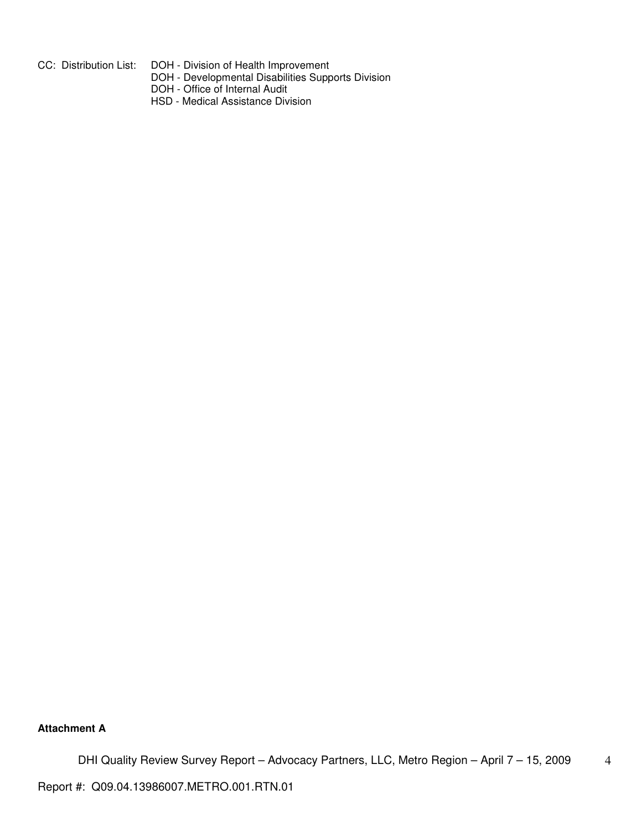- CC: Distribution List: DOH Division of Health Improvement
- DOH Developmental Disabilities Supports Division

DOH - Office of Internal Audit

HSD - Medical Assistance Division

**Attachment A**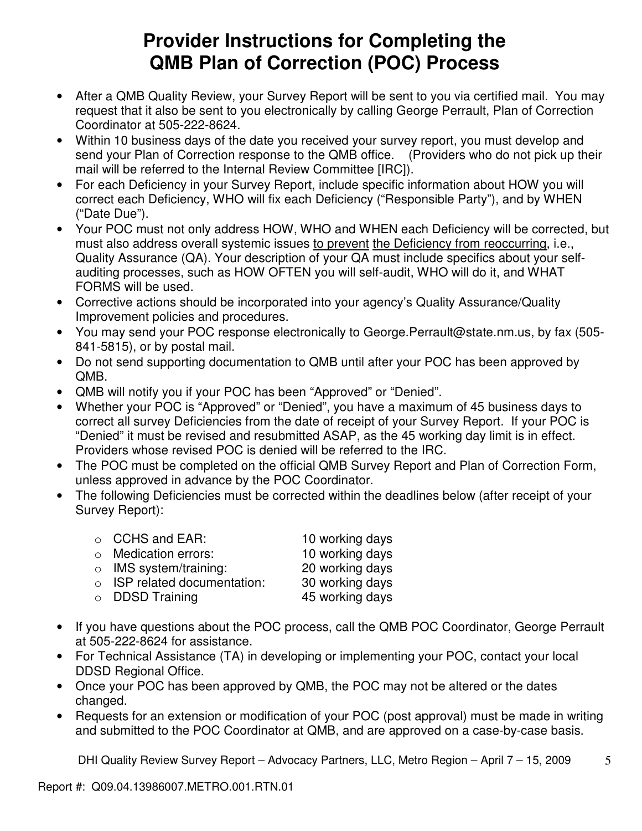# **Provider Instructions for Completing the QMB Plan of Correction (POC) Process**

- After a QMB Quality Review, your Survey Report will be sent to you via certified mail. You may request that it also be sent to you electronically by calling George Perrault, Plan of Correction Coordinator at 505-222-8624.
- Within 10 business days of the date you received your survey report, you must develop and send your Plan of Correction response to the QMB office. (Providers who do not pick up their mail will be referred to the Internal Review Committee [IRC]).
- For each Deficiency in your Survey Report, include specific information about HOW you will correct each Deficiency, WHO will fix each Deficiency ("Responsible Party"), and by WHEN ("Date Due").
- Your POC must not only address HOW, WHO and WHEN each Deficiency will be corrected, but must also address overall systemic issues to prevent the Deficiency from reoccurring, i.e., Quality Assurance (QA). Your description of your QA must include specifics about your selfauditing processes, such as HOW OFTEN you will self-audit, WHO will do it, and WHAT FORMS will be used.
- Corrective actions should be incorporated into your agency's Quality Assurance/Quality Improvement policies and procedures.
- You may send your POC response electronically to George.Perrault@state.nm.us, by fax (505- 841-5815), or by postal mail.
- Do not send supporting documentation to QMB until after your POC has been approved by QMB.
- QMB will notify you if your POC has been "Approved" or "Denied".
- Whether your POC is "Approved" or "Denied", you have a maximum of 45 business days to correct all survey Deficiencies from the date of receipt of your Survey Report. If your POC is "Denied" it must be revised and resubmitted ASAP, as the 45 working day limit is in effect. Providers whose revised POC is denied will be referred to the IRC.
- The POC must be completed on the official QMB Survey Report and Plan of Correction Form, unless approved in advance by the POC Coordinator.
- The following Deficiencies must be corrected within the deadlines below (after receipt of your Survey Report):

| $\circ$ CCHS and EAR:              | 10 working days |
|------------------------------------|-----------------|
| o Medication errors:               | 10 working days |
| $\circ$ IMS system/training:       | 20 working days |
| $\circ$ ISP related documentation: | 30 working days |
| $\circ$ DDSD Training              | 45 working days |

- If you have questions about the POC process, call the QMB POC Coordinator, George Perrault at 505-222-8624 for assistance.
- For Technical Assistance (TA) in developing or implementing your POC, contact your local DDSD Regional Office.
- Once your POC has been approved by QMB, the POC may not be altered or the dates changed.
- Requests for an extension or modification of your POC (post approval) must be made in writing and submitted to the POC Coordinator at QMB, and are approved on a case-by-case basis.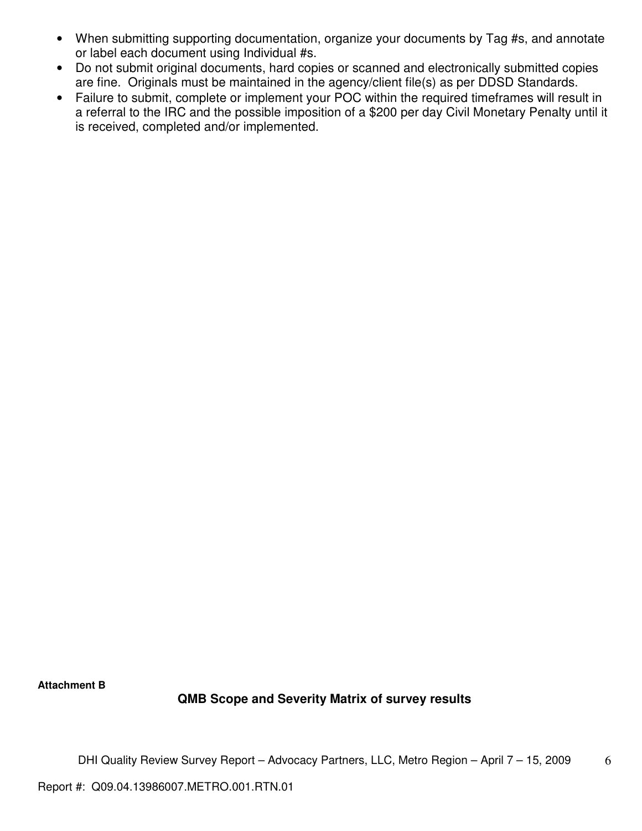- When submitting supporting documentation, organize your documents by Tag #s, and annotate or label each document using Individual #s.
- Do not submit original documents, hard copies or scanned and electronically submitted copies are fine. Originals must be maintained in the agency/client file(s) as per DDSD Standards.
- Failure to submit, complete or implement your POC within the required timeframes will result in a referral to the IRC and the possible imposition of a \$200 per day Civil Monetary Penalty until it is received, completed and/or implemented.

**Attachment B** 

# **QMB Scope and Severity Matrix of survey results**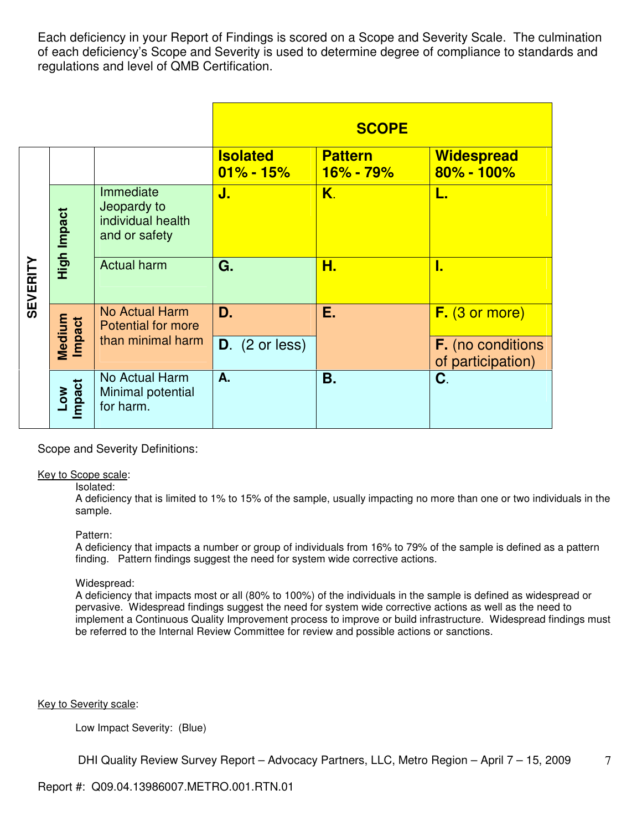Each deficiency in your Report of Findings is scored on a Scope and Severity Scale. The culmination of each deficiency's Scope and Severity is used to determine degree of compliance to standards and regulations and level of QMB Certification.

|                 |                  |                                                                |                                  | <b>SCOPE</b>                    |                                        |
|-----------------|------------------|----------------------------------------------------------------|----------------------------------|---------------------------------|----------------------------------------|
|                 |                  |                                                                | <b>Isolated</b><br>$01\% - 15\%$ | <b>Pattern</b><br>$16\% - 79\%$ | <b>Widespread</b><br>$80\% - 100\%$    |
|                 | High Impact      | Immediate<br>Jeopardy to<br>individual health<br>and or safety | J.                               | K.                              | L.                                     |
| <b>SEVERITY</b> |                  | <b>Actual harm</b>                                             | G.                               | Н.                              | ı.                                     |
|                 |                  | No Actual Harm<br><b>Potential for more</b>                    | D.                               | Е.                              | $F.$ (3 or more)                       |
|                 | Medium<br>Impact | than minimal harm                                              | $D.$ (2 or less)                 |                                 | F. (no conditions<br>of participation) |
|                 | Low<br>Impact    | No Actual Harm<br>Minimal potential<br>for harm.               | A.                               | <b>B.</b>                       | C.                                     |

Scope and Severity Definitions:

## Key to Scope scale:

#### Isolated:

A deficiency that is limited to 1% to 15% of the sample, usually impacting no more than one or two individuals in the sample.

#### Pattern:

A deficiency that impacts a number or group of individuals from 16% to 79% of the sample is defined as a pattern finding. Pattern findings suggest the need for system wide corrective actions.

#### Widespread:

A deficiency that impacts most or all (80% to 100%) of the individuals in the sample is defined as widespread or pervasive. Widespread findings suggest the need for system wide corrective actions as well as the need to implement a Continuous Quality Improvement process to improve or build infrastructure. Widespread findings must be referred to the Internal Review Committee for review and possible actions or sanctions.

Key to Severity scale:

Low Impact Severity: (Blue)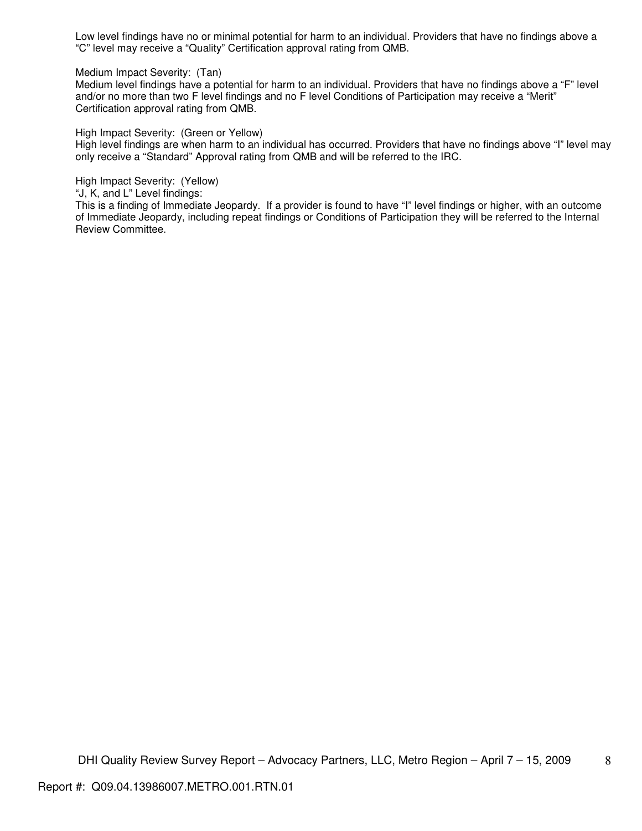Low level findings have no or minimal potential for harm to an individual. Providers that have no findings above a "C" level may receive a "Quality" Certification approval rating from QMB.

Medium Impact Severity: (Tan)

Medium level findings have a potential for harm to an individual. Providers that have no findings above a "F" level and/or no more than two F level findings and no F level Conditions of Participation may receive a "Merit" Certification approval rating from QMB.

High Impact Severity: (Green or Yellow)

High level findings are when harm to an individual has occurred. Providers that have no findings above "I" level may only receive a "Standard" Approval rating from QMB and will be referred to the IRC.

High Impact Severity: (Yellow)

"J, K, and L" Level findings:

This is a finding of Immediate Jeopardy. If a provider is found to have "I" level findings or higher, with an outcome of Immediate Jeopardy, including repeat findings or Conditions of Participation they will be referred to the Internal Review Committee.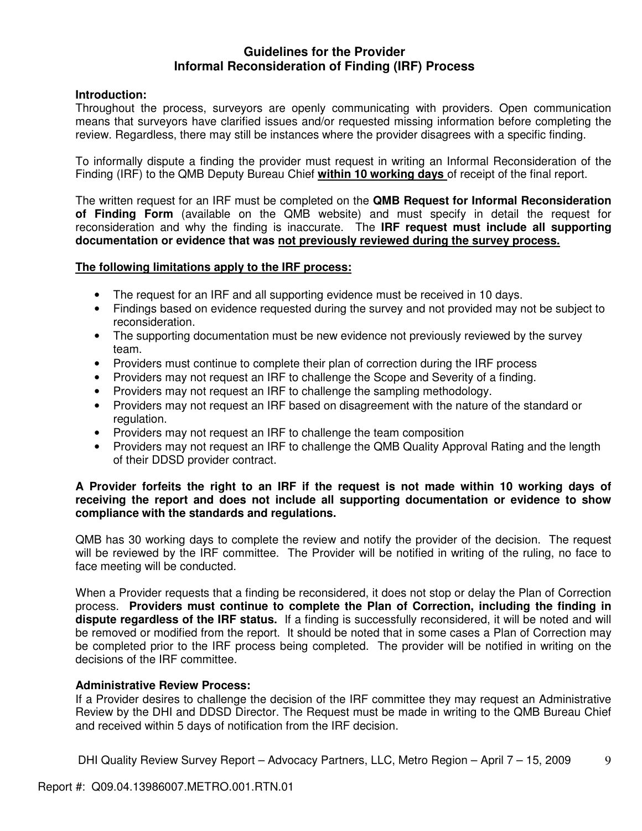# **Guidelines for the Provider Informal Reconsideration of Finding (IRF) Process**

# **Introduction:**

Throughout the process, surveyors are openly communicating with providers. Open communication means that surveyors have clarified issues and/or requested missing information before completing the review. Regardless, there may still be instances where the provider disagrees with a specific finding.

To informally dispute a finding the provider must request in writing an Informal Reconsideration of the Finding (IRF) to the QMB Deputy Bureau Chief **within 10 working days** of receipt of the final report.

The written request for an IRF must be completed on the **QMB Request for Informal Reconsideration of Finding Form** (available on the QMB website) and must specify in detail the request for reconsideration and why the finding is inaccurate. The **IRF request must include all supporting documentation or evidence that was not previously reviewed during the survey process.** 

# **The following limitations apply to the IRF process:**

- The request for an IRF and all supporting evidence must be received in 10 days.
- Findings based on evidence requested during the survey and not provided may not be subject to reconsideration.
- The supporting documentation must be new evidence not previously reviewed by the survey team.
- Providers must continue to complete their plan of correction during the IRF process
- Providers may not request an IRF to challenge the Scope and Severity of a finding.
- Providers may not request an IRF to challenge the sampling methodology.
- Providers may not request an IRF based on disagreement with the nature of the standard or regulation.
- Providers may not request an IRF to challenge the team composition
- Providers may not request an IRF to challenge the QMB Quality Approval Rating and the length of their DDSD provider contract.

# **A Provider forfeits the right to an IRF if the request is not made within 10 working days of receiving the report and does not include all supporting documentation or evidence to show compliance with the standards and regulations.**

QMB has 30 working days to complete the review and notify the provider of the decision. The request will be reviewed by the IRF committee. The Provider will be notified in writing of the ruling, no face to face meeting will be conducted.

When a Provider requests that a finding be reconsidered, it does not stop or delay the Plan of Correction process. **Providers must continue to complete the Plan of Correction, including the finding in dispute regardless of the IRF status.** If a finding is successfully reconsidered, it will be noted and will be removed or modified from the report. It should be noted that in some cases a Plan of Correction may be completed prior to the IRF process being completed. The provider will be notified in writing on the decisions of the IRF committee.

# **Administrative Review Process:**

If a Provider desires to challenge the decision of the IRF committee they may request an Administrative Review by the DHI and DDSD Director. The Request must be made in writing to the QMB Bureau Chief and received within 5 days of notification from the IRF decision.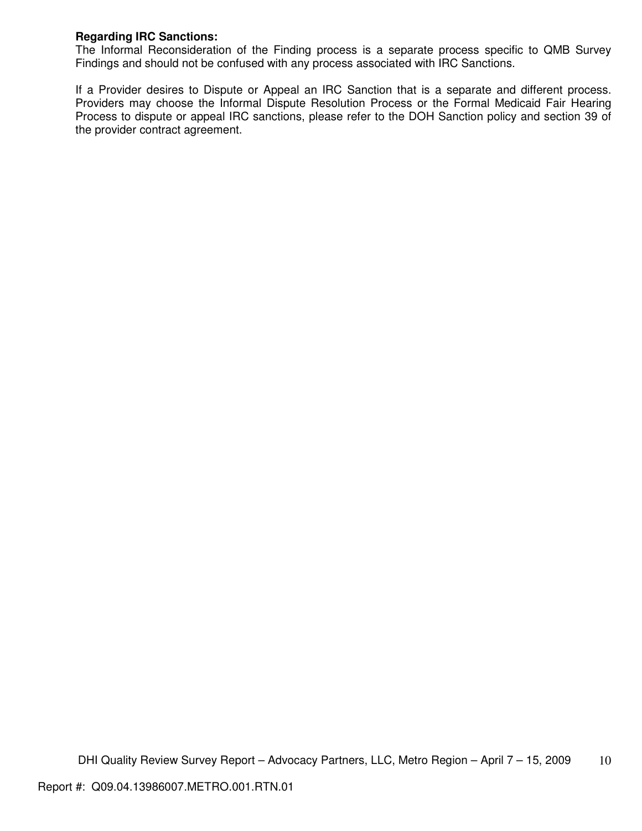# **Regarding IRC Sanctions:**

The Informal Reconsideration of the Finding process is a separate process specific to QMB Survey Findings and should not be confused with any process associated with IRC Sanctions.

If a Provider desires to Dispute or Appeal an IRC Sanction that is a separate and different process. Providers may choose the Informal Dispute Resolution Process or the Formal Medicaid Fair Hearing Process to dispute or appeal IRC sanctions, please refer to the DOH Sanction policy and section 39 of the provider contract agreement.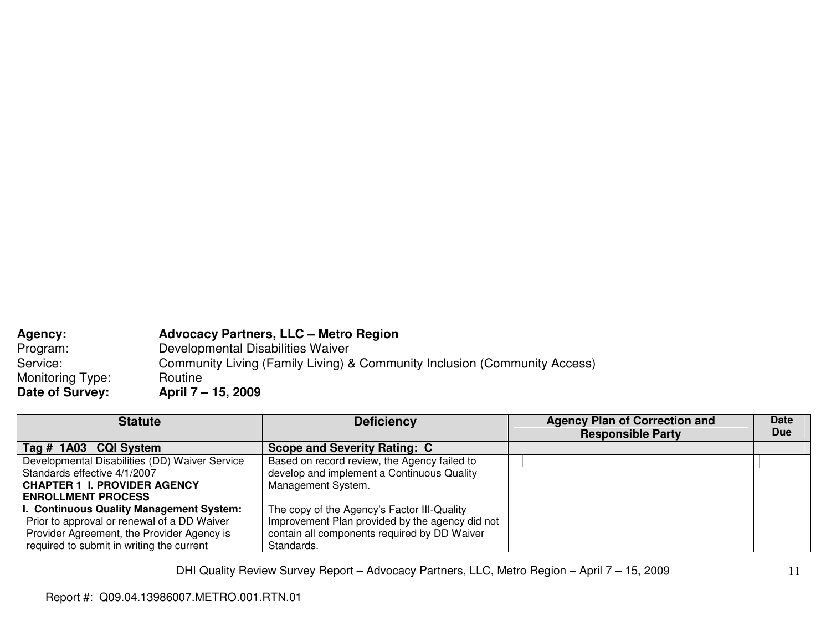| <b>Agency:</b>   | <b>Advocacy Partners, LLC - Metro Region</b>                              |
|------------------|---------------------------------------------------------------------------|
| Program:         | Developmental Disabilities Waiver                                         |
| Service:         | Community Living (Family Living) & Community Inclusion (Community Access) |
| Monitoring Type: | Routine                                                                   |
| Date of Survey:  | April 7 – 15, 2009                                                        |

| <b>Statute</b>                                 | <b>Deficiency</b>                               | <b>Agency Plan of Correction and</b> | <b>Date</b> |
|------------------------------------------------|-------------------------------------------------|--------------------------------------|-------------|
|                                                |                                                 | <b>Responsible Party</b>             | <b>Due</b>  |
| Tag # 1A03 CQI System                          | <b>Scope and Severity Rating: C</b>             |                                      |             |
| Developmental Disabilities (DD) Waiver Service | Based on record review, the Agency failed to    |                                      |             |
| Standards effective 4/1/2007                   | develop and implement a Continuous Quality      |                                      |             |
| <b>CHAPTER 1 I. PROVIDER AGENCY</b>            | Management System.                              |                                      |             |
| <b>ENROLLMENT PROCESS</b>                      |                                                 |                                      |             |
| I. Continuous Quality Management System:       | The copy of the Agency's Factor III-Quality     |                                      |             |
| Prior to approval or renewal of a DD Waiver    | Improvement Plan provided by the agency did not |                                      |             |
| Provider Agreement, the Provider Agency is     | contain all components required by DD Waiver    |                                      |             |
| required to submit in writing the current      | Standards.                                      |                                      |             |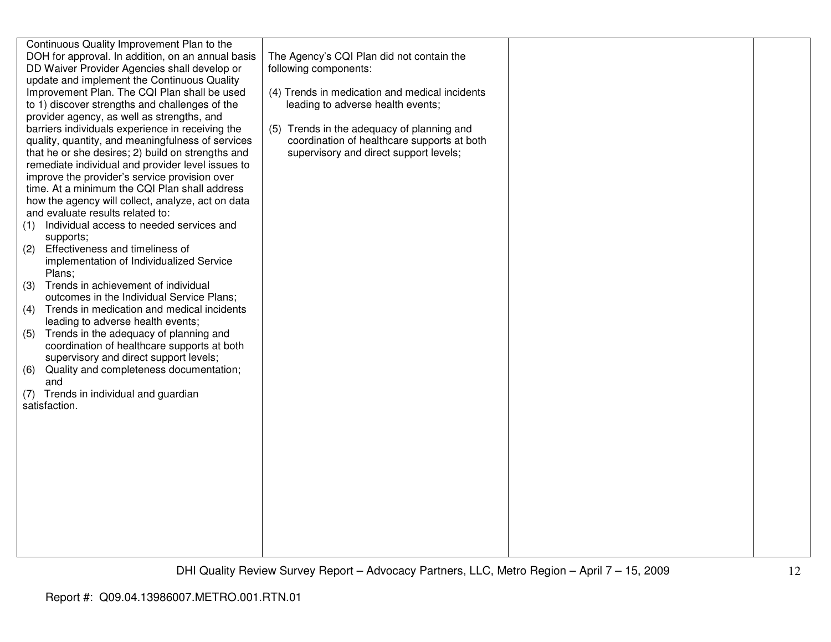| Continuous Quality Improvement Plan to the<br>DOH for approval. In addition, on an annual basis<br>DD Waiver Provider Agencies shall develop or<br>update and implement the Continuous Quality<br>Improvement Plan. The CQI Plan shall be used<br>to 1) discover strengths and challenges of the<br>provider agency, as well as strengths, and<br>barriers individuals experience in receiving the<br>quality, quantity, and meaningfulness of services<br>that he or she desires; 2) build on strengths and<br>remediate individual and provider level issues to<br>improve the provider's service provision over<br>time. At a minimum the CQI Plan shall address<br>how the agency will collect, analyze, act on data<br>and evaluate results related to:<br>Individual access to needed services and<br>(1)<br>supports;<br>Effectiveness and timeliness of<br>(2)<br>implementation of Individualized Service<br>Plans;<br>Trends in achievement of individual<br>(3)<br>outcomes in the Individual Service Plans;<br>(4) Trends in medication and medical incidents<br>leading to adverse health events;<br>Trends in the adequacy of planning and<br>(5)<br>coordination of healthcare supports at both<br>supervisory and direct support levels;<br>Quality and completeness documentation;<br>(6)<br>and<br>(7) Trends in individual and guardian<br>satisfaction. | The Agency's CQI Plan did not contain the<br>following components:<br>(4) Trends in medication and medical incidents<br>leading to adverse health events;<br>(5) Trends in the adequacy of planning and<br>coordination of healthcare supports at both<br>supervisory and direct support levels; |  |
|-----------------------------------------------------------------------------------------------------------------------------------------------------------------------------------------------------------------------------------------------------------------------------------------------------------------------------------------------------------------------------------------------------------------------------------------------------------------------------------------------------------------------------------------------------------------------------------------------------------------------------------------------------------------------------------------------------------------------------------------------------------------------------------------------------------------------------------------------------------------------------------------------------------------------------------------------------------------------------------------------------------------------------------------------------------------------------------------------------------------------------------------------------------------------------------------------------------------------------------------------------------------------------------------------------------------------------------------------------------------------------|--------------------------------------------------------------------------------------------------------------------------------------------------------------------------------------------------------------------------------------------------------------------------------------------------|--|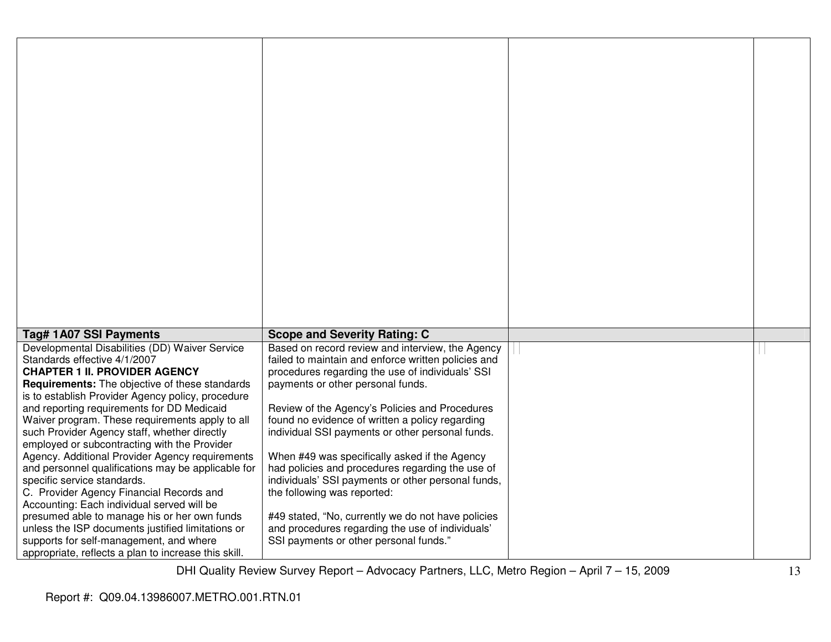| Tag# 1A07 SSI Payments                                                                                                                                                                                                                                                                                                                                                                                                                                                                                                                                                                                                                                                                                           | <b>Scope and Severity Rating: C</b>                                                                                                                                                                                                                                                                                                                                                                                                                                                                                                                                                                       |  |
|------------------------------------------------------------------------------------------------------------------------------------------------------------------------------------------------------------------------------------------------------------------------------------------------------------------------------------------------------------------------------------------------------------------------------------------------------------------------------------------------------------------------------------------------------------------------------------------------------------------------------------------------------------------------------------------------------------------|-----------------------------------------------------------------------------------------------------------------------------------------------------------------------------------------------------------------------------------------------------------------------------------------------------------------------------------------------------------------------------------------------------------------------------------------------------------------------------------------------------------------------------------------------------------------------------------------------------------|--|
| Developmental Disabilities (DD) Waiver Service<br>Standards effective 4/1/2007<br><b>CHAPTER 1 II. PROVIDER AGENCY</b><br>Requirements: The objective of these standards<br>is to establish Provider Agency policy, procedure<br>and reporting requirements for DD Medicaid<br>Waiver program. These requirements apply to all<br>such Provider Agency staff, whether directly<br>employed or subcontracting with the Provider<br>Agency. Additional Provider Agency requirements<br>and personnel qualifications may be applicable for<br>specific service standards.<br>C. Provider Agency Financial Records and<br>Accounting: Each individual served will be<br>presumed able to manage his or her own funds | Based on record review and interview, the Agency<br>failed to maintain and enforce written policies and<br>procedures regarding the use of individuals' SSI<br>payments or other personal funds.<br>Review of the Agency's Policies and Procedures<br>found no evidence of written a policy regarding<br>individual SSI payments or other personal funds.<br>When #49 was specifically asked if the Agency<br>had policies and procedures regarding the use of<br>individuals' SSI payments or other personal funds,<br>the following was reported:<br>#49 stated, "No, currently we do not have policies |  |
| unless the ISP documents justified limitations or<br>supports for self-management, and where<br>appropriate, reflects a plan to increase this skill.                                                                                                                                                                                                                                                                                                                                                                                                                                                                                                                                                             | and procedures regarding the use of individuals'<br>SSI payments or other personal funds."                                                                                                                                                                                                                                                                                                                                                                                                                                                                                                                |  |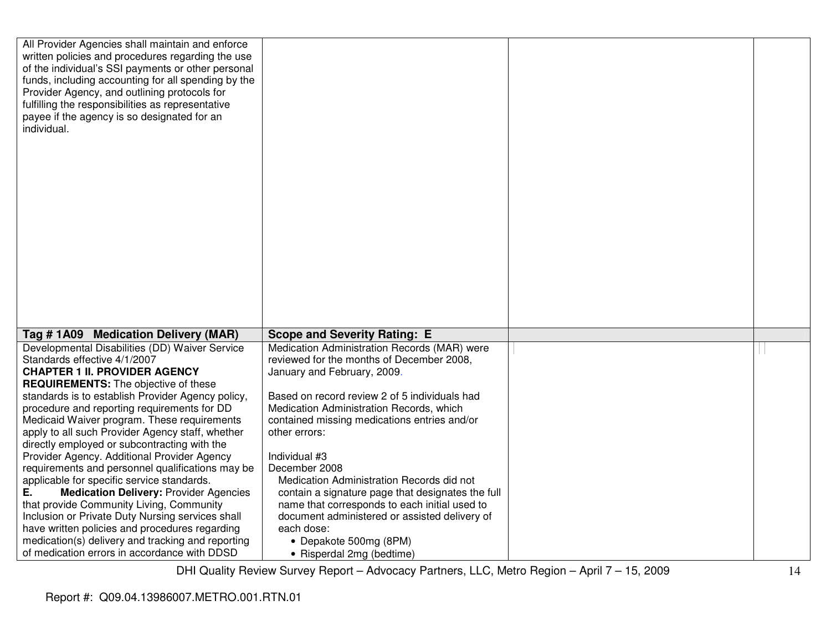| All Provider Agencies shall maintain and enforce                                                  |                                                     |  |
|---------------------------------------------------------------------------------------------------|-----------------------------------------------------|--|
| written policies and procedures regarding the use                                                 |                                                     |  |
| of the individual's SSI payments or other personal                                                |                                                     |  |
| funds, including accounting for all spending by the                                               |                                                     |  |
| Provider Agency, and outlining protocols for                                                      |                                                     |  |
| fulfilling the responsibilities as representative                                                 |                                                     |  |
| payee if the agency is so designated for an                                                       |                                                     |  |
| individual.                                                                                       |                                                     |  |
|                                                                                                   |                                                     |  |
|                                                                                                   |                                                     |  |
|                                                                                                   |                                                     |  |
|                                                                                                   |                                                     |  |
|                                                                                                   |                                                     |  |
|                                                                                                   |                                                     |  |
|                                                                                                   |                                                     |  |
|                                                                                                   |                                                     |  |
|                                                                                                   |                                                     |  |
|                                                                                                   |                                                     |  |
|                                                                                                   |                                                     |  |
|                                                                                                   |                                                     |  |
|                                                                                                   |                                                     |  |
|                                                                                                   |                                                     |  |
|                                                                                                   |                                                     |  |
|                                                                                                   |                                                     |  |
|                                                                                                   |                                                     |  |
| Tag #1A09 Medication Delivery (MAR)                                                               | <b>Scope and Severity Rating: E</b>                 |  |
| Developmental Disabilities (DD) Waiver Service                                                    | Medication Administration Records (MAR) were        |  |
| Standards effective 4/1/2007                                                                      | reviewed for the months of December 2008,           |  |
| <b>CHAPTER 1 II. PROVIDER AGENCY</b>                                                              | January and February, 2009.                         |  |
| <b>REQUIREMENTS:</b> The objective of these                                                       |                                                     |  |
| standards is to establish Provider Agency policy,                                                 | Based on record review 2 of 5 individuals had       |  |
| procedure and reporting requirements for DD                                                       | Medication Administration Records, which            |  |
| Medicaid Waiver program. These requirements                                                       | contained missing medications entries and/or        |  |
| apply to all such Provider Agency staff, whether                                                  |                                                     |  |
|                                                                                                   | other errors:                                       |  |
| directly employed or subcontracting with the                                                      |                                                     |  |
|                                                                                                   | Individual #3                                       |  |
| Provider Agency. Additional Provider Agency                                                       | December 2008                                       |  |
| requirements and personnel qualifications may be                                                  |                                                     |  |
| applicable for specific service standards.<br>Е.                                                  | Medication Administration Records did not           |  |
| <b>Medication Delivery: Provider Agencies</b>                                                     | contain a signature page that designates the full   |  |
| that provide Community Living, Community                                                          | name that corresponds to each initial used to       |  |
| Inclusion or Private Duty Nursing services shall                                                  | document administered or assisted delivery of       |  |
| have written policies and procedures regarding                                                    | each dose:                                          |  |
| medication(s) delivery and tracking and reporting<br>of medication errors in accordance with DDSD | • Depakote 500mg (8PM)<br>• Risperdal 2mg (bedtime) |  |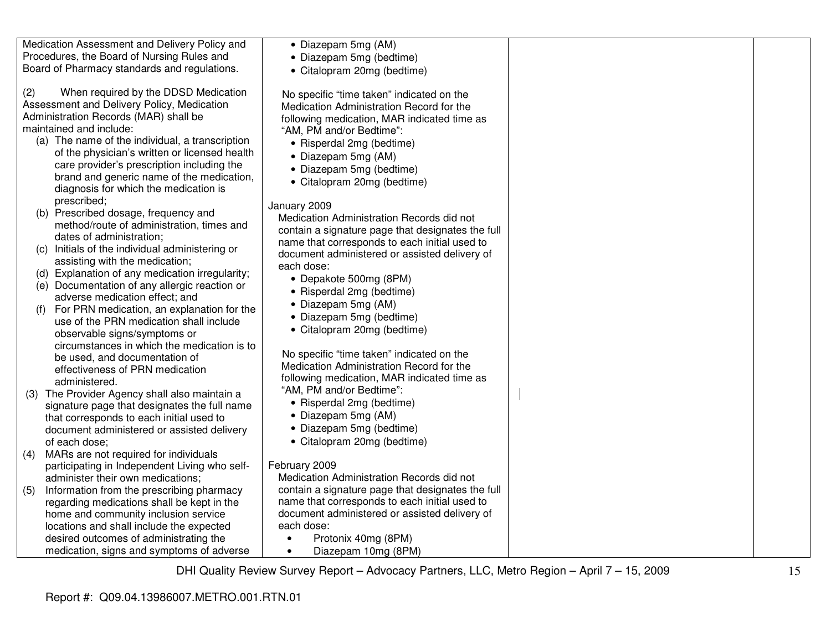Medication Assessment and Delivery Policy and Procedures, the Board of Nursing Rules and Board of Pharmacy standards and regulations.

(2) When required by the DDSD Medication Assessment and Delivery Policy, Medication Administration Records (MAR) shall be maintained and include:

- (a) The name of the individual, a transcription of the physician's written or licensed health care provider's prescription including the brand and generic name of the medication, diagnosis for which the medication is prescribed;
- (b) Prescribed dosage, frequency and method/route of administration, times and dates of administration;
- (c) Initials of the individual administering or assisting with the medication;
- (d) Explanation of any medication irregularity;
- (e) Documentation of any allergic reaction or adverse medication effect; and
- (f) For PRN medication, an explanation for the use of the PRN medication shall include observable signs/symptoms or circumstances in which the medication is to be used, and documentation of effectiveness of PRN medication administered.
- (3) The Provider Agency shall also maintain a signature page that designates the full name that corresponds to each initial used to document administered or assisted delivery of each dose;
- (4) MARs are not required for individuals participating in Independent Living who selfadminister their own medications;
- (5) Information from the prescribing pharmacy regarding medications shall be kept in the home and community inclusion service locations and shall include the expected desired outcomes of administrating the medication, signs and symptoms of adverse
- Citalopram 20mg (bedtime) No specific "time taken" indicated on the Medication Administration Record for the following medication, MAR indicated time as "AM, PM and/or Bedtime": • Risperdal 2mg (bedtime) • Diazepam 5mg (AM) • Diazepam 5mg (bedtime) • Citalopram 20mg (bedtime) January 2009 Medication Administration Records did not contain a signature page that designates the full name that corresponds to each initial used to document administered or assisted delivery of each dose: • Depakote 500mg (8PM) • Risperdal 2mg (bedtime) • Diazepam 5mg (AM) • Diazepam 5mg (bedtime) • Citalopram 20mg (bedtime) No specific "time taken" indicated on the Medication Administration Record for the following medication, MAR indicated time as "AM, PM and/or Bedtime": • Risperdal 2mg (bedtime) • Diazepam 5mg (AM) • Diazepam 5mg (bedtime) • Citalopram 20mg (bedtime) February 2009 Medication Administration Records did not contain a signature page that designates the full name that corresponds to each initial used to document administered or assisted delivery of
	- each dose: • Protonix 40mg (8PM)

• Diazepam 5mg (AM) • Diazepam 5mg (bedtime)

• Diazepam 10mg (8PM)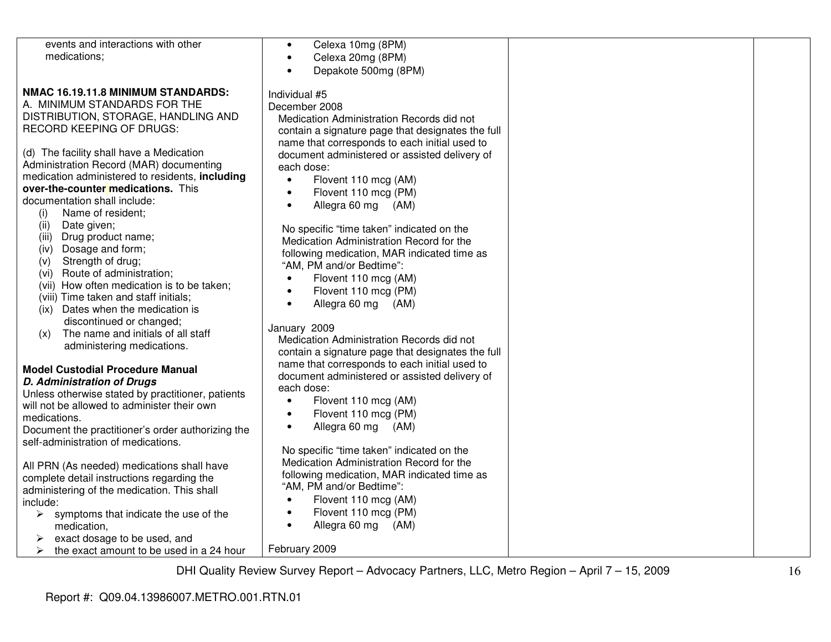| events and interactions with other                | Celexa 10mg (8PM)<br>$\bullet$                                                        |  |
|---------------------------------------------------|---------------------------------------------------------------------------------------|--|
| medications;                                      | Celexa 20mg (8PM)<br>$\bullet$                                                        |  |
|                                                   | Depakote 500mg (8PM)                                                                  |  |
|                                                   |                                                                                       |  |
| NMAC 16.19.11.8 MINIMUM STANDARDS:                | Individual #5                                                                         |  |
| A. MINIMUM STANDARDS FOR THE                      | December 2008                                                                         |  |
| DISTRIBUTION, STORAGE, HANDLING AND               | Medication Administration Records did not                                             |  |
| <b>RECORD KEEPING OF DRUGS:</b>                   |                                                                                       |  |
|                                                   | contain a signature page that designates the full                                     |  |
|                                                   | name that corresponds to each initial used to                                         |  |
| (d) The facility shall have a Medication          | document administered or assisted delivery of                                         |  |
| Administration Record (MAR) documenting           | each dose:                                                                            |  |
| medication administered to residents, including   | Flovent 110 mcg (AM)<br>$\bullet$                                                     |  |
| over-the-counter medications. This                | Flovent 110 mcg (PM)<br>$\bullet$                                                     |  |
| documentation shall include:                      | Allegra 60 mg (AM)<br>$\bullet$                                                       |  |
| Name of resident;<br>(i)                          |                                                                                       |  |
| (ii)<br>Date given;                               | No specific "time taken" indicated on the                                             |  |
| (iii) Drug product name;                          | Medication Administration Record for the                                              |  |
| (iv) Dosage and form;                             | following medication, MAR indicated time as                                           |  |
| Strength of drug;<br>(V)                          | "AM, PM and/or Bedtime":                                                              |  |
| Route of administration;<br>(vi)                  | $\bullet$                                                                             |  |
| (vii) How often medication is to be taken;        | Flovent 110 mcg (AM)                                                                  |  |
| (viii) Time taken and staff initials;             | Flovent 110 mcg (PM)<br>$\bullet$                                                     |  |
| (ix) Dates when the medication is                 | Allegra 60 mg (AM)<br>$\bullet$                                                       |  |
| discontinued or changed;                          |                                                                                       |  |
| The name and initials of all staff<br>(x)         | January 2009                                                                          |  |
| administering medications.                        | Medication Administration Records did not                                             |  |
|                                                   | contain a signature page that designates the full                                     |  |
| <b>Model Custodial Procedure Manual</b>           | name that corresponds to each initial used to                                         |  |
| <b>D. Administration of Drugs</b>                 | document administered or assisted delivery of                                         |  |
|                                                   | each dose:                                                                            |  |
| Unless otherwise stated by practitioner, patients | Flovent 110 mcg (AM)<br>$\bullet$                                                     |  |
| will not be allowed to administer their own       | Flovent 110 mcg (PM)<br>$\bullet$                                                     |  |
| medications.                                      | Allegra 60 mg<br>(AM)<br>$\bullet$                                                    |  |
| Document the practitioner's order authorizing the |                                                                                       |  |
| self-administration of medications.               |                                                                                       |  |
|                                                   | No specific "time taken" indicated on the<br>Medication Administration Record for the |  |
| All PRN (As needed) medications shall have        |                                                                                       |  |
| complete detail instructions regarding the        | following medication, MAR indicated time as                                           |  |
| administering of the medication. This shall       | "AM, PM and/or Bedtime":                                                              |  |
| include:                                          | Flovent 110 mcg (AM)<br>$\bullet$                                                     |  |
| symptoms that indicate the use of the<br>➤        | Flovent 110 mcg (PM)<br>$\bullet$                                                     |  |
| medication,                                       | Allegra 60 mg<br>(AM)<br>$\bullet$                                                    |  |
| exact dosage to be used, and                      |                                                                                       |  |
| the exact amount to be used in a 24 hour<br>➤     | February 2009                                                                         |  |
|                                                   |                                                                                       |  |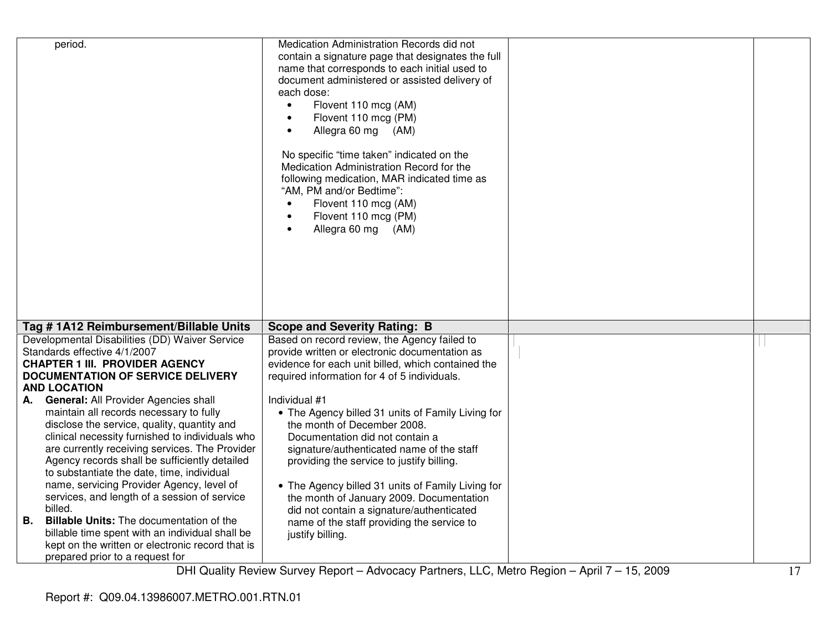|    | period.                                                                                   | Medication Administration Records did not<br>contain a signature page that designates the full<br>name that corresponds to each initial used to<br>document administered or assisted delivery of<br>each dose:<br>Flovent 110 mcg (AM)<br>$\bullet$<br>Flovent 110 mcg (PM)<br>$\bullet$<br>Allegra 60 mg (AM)<br>$\bullet$<br>No specific "time taken" indicated on the<br>Medication Administration Record for the<br>following medication, MAR indicated time as<br>"AM, PM and/or Bedtime":<br>Flovent 110 mcg (AM)<br>$\bullet$<br>Flovent 110 mcg (PM)<br>$\bullet$<br>Allegra 60 mg (AM)<br>$\bullet$ |  |
|----|-------------------------------------------------------------------------------------------|--------------------------------------------------------------------------------------------------------------------------------------------------------------------------------------------------------------------------------------------------------------------------------------------------------------------------------------------------------------------------------------------------------------------------------------------------------------------------------------------------------------------------------------------------------------------------------------------------------------|--|
|    | Tag #1A12 Reimbursement/Billable Units                                                    | <b>Scope and Severity Rating: B</b>                                                                                                                                                                                                                                                                                                                                                                                                                                                                                                                                                                          |  |
|    | Developmental Disabilities (DD) Waiver Service                                            | Based on record review, the Agency failed to                                                                                                                                                                                                                                                                                                                                                                                                                                                                                                                                                                 |  |
|    | Standards effective 4/1/2007                                                              | provide written or electronic documentation as                                                                                                                                                                                                                                                                                                                                                                                                                                                                                                                                                               |  |
|    | <b>CHAPTER 1 III. PROVIDER AGENCY</b>                                                     | evidence for each unit billed, which contained the                                                                                                                                                                                                                                                                                                                                                                                                                                                                                                                                                           |  |
|    | <b>DOCUMENTATION OF SERVICE DELIVERY</b>                                                  | required information for 4 of 5 individuals.                                                                                                                                                                                                                                                                                                                                                                                                                                                                                                                                                                 |  |
|    | <b>AND LOCATION</b><br>A. General: All Provider Agencies shall                            | Individual #1                                                                                                                                                                                                                                                                                                                                                                                                                                                                                                                                                                                                |  |
|    | maintain all records necessary to fully                                                   | • The Agency billed 31 units of Family Living for                                                                                                                                                                                                                                                                                                                                                                                                                                                                                                                                                            |  |
|    | disclose the service, quality, quantity and                                               | the month of December 2008.                                                                                                                                                                                                                                                                                                                                                                                                                                                                                                                                                                                  |  |
|    | clinical necessity furnished to individuals who                                           | Documentation did not contain a                                                                                                                                                                                                                                                                                                                                                                                                                                                                                                                                                                              |  |
|    | are currently receiving services. The Provider                                            | signature/authenticated name of the staff                                                                                                                                                                                                                                                                                                                                                                                                                                                                                                                                                                    |  |
|    | Agency records shall be sufficiently detailed                                             | providing the service to justify billing.                                                                                                                                                                                                                                                                                                                                                                                                                                                                                                                                                                    |  |
|    | to substantiate the date, time, individual                                                |                                                                                                                                                                                                                                                                                                                                                                                                                                                                                                                                                                                                              |  |
|    | name, servicing Provider Agency, level of<br>services, and length of a session of service | • The Agency billed 31 units of Family Living for<br>the month of January 2009. Documentation                                                                                                                                                                                                                                                                                                                                                                                                                                                                                                                |  |
|    | billed.                                                                                   | did not contain a signature/authenticated                                                                                                                                                                                                                                                                                                                                                                                                                                                                                                                                                                    |  |
| В. | <b>Billable Units:</b> The documentation of the                                           | name of the staff providing the service to                                                                                                                                                                                                                                                                                                                                                                                                                                                                                                                                                                   |  |
|    | billable time spent with an individual shall be                                           | justify billing.                                                                                                                                                                                                                                                                                                                                                                                                                                                                                                                                                                                             |  |
|    | kept on the written or electronic record that is                                          |                                                                                                                                                                                                                                                                                                                                                                                                                                                                                                                                                                                                              |  |
|    | prepared prior to a request for                                                           |                                                                                                                                                                                                                                                                                                                                                                                                                                                                                                                                                                                                              |  |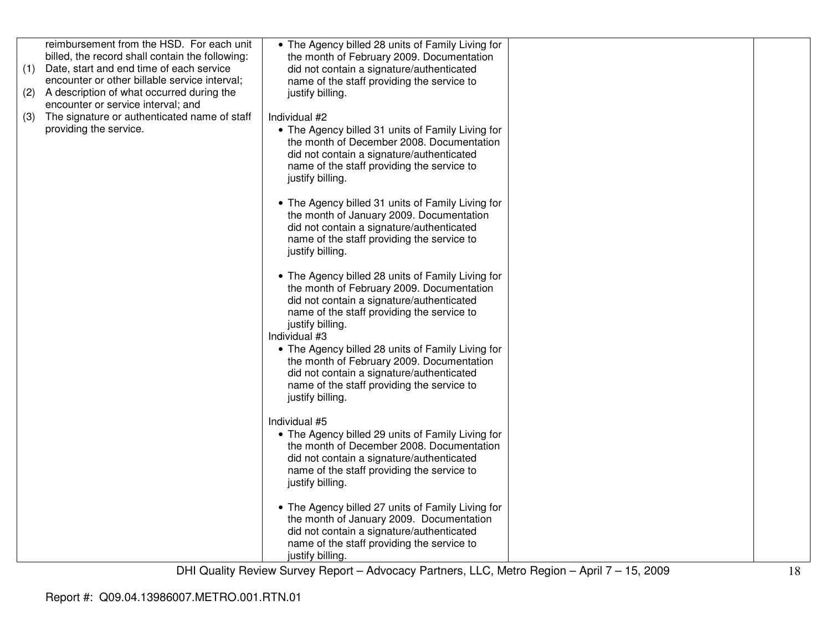|     | reimbursement from the HSD. For each unit       | • The Agency billed 28 units of Family Living for |  |
|-----|-------------------------------------------------|---------------------------------------------------|--|
|     | billed, the record shall contain the following: | the month of February 2009. Documentation         |  |
| (1) | Date, start and end time of each service        | did not contain a signature/authenticated         |  |
|     | encounter or other billable service interval;   | name of the staff providing the service to        |  |
| (2) | A description of what occurred during the       | justify billing.                                  |  |
|     | encounter or service interval; and              |                                                   |  |
| (3) | The signature or authenticated name of staff    | Individual #2                                     |  |
|     | providing the service.                          | • The Agency billed 31 units of Family Living for |  |
|     |                                                 | the month of December 2008. Documentation         |  |
|     |                                                 | did not contain a signature/authenticated         |  |
|     |                                                 | name of the staff providing the service to        |  |
|     |                                                 | justify billing.                                  |  |
|     |                                                 |                                                   |  |
|     |                                                 | • The Agency billed 31 units of Family Living for |  |
|     |                                                 | the month of January 2009. Documentation          |  |
|     |                                                 | did not contain a signature/authenticated         |  |
|     |                                                 | name of the staff providing the service to        |  |
|     |                                                 | justify billing.                                  |  |
|     |                                                 |                                                   |  |
|     |                                                 | • The Agency billed 28 units of Family Living for |  |
|     |                                                 | the month of February 2009. Documentation         |  |
|     |                                                 | did not contain a signature/authenticated         |  |
|     |                                                 | name of the staff providing the service to        |  |
|     |                                                 | justify billing.                                  |  |
|     |                                                 | Individual #3                                     |  |
|     |                                                 | • The Agency billed 28 units of Family Living for |  |
|     |                                                 | the month of February 2009. Documentation         |  |
|     |                                                 | did not contain a signature/authenticated         |  |
|     |                                                 | name of the staff providing the service to        |  |
|     |                                                 | justify billing.                                  |  |
|     |                                                 |                                                   |  |
|     |                                                 | Individual #5                                     |  |
|     |                                                 | • The Agency billed 29 units of Family Living for |  |
|     |                                                 | the month of December 2008. Documentation         |  |
|     |                                                 | did not contain a signature/authenticated         |  |
|     |                                                 | name of the staff providing the service to        |  |
|     |                                                 | justify billing.                                  |  |
|     |                                                 |                                                   |  |
|     |                                                 | • The Agency billed 27 units of Family Living for |  |
|     |                                                 | the month of January 2009. Documentation          |  |
|     |                                                 | did not contain a signature/authenticated         |  |
|     |                                                 | name of the staff providing the service to        |  |
|     |                                                 | justify billing.                                  |  |
|     |                                                 |                                                   |  |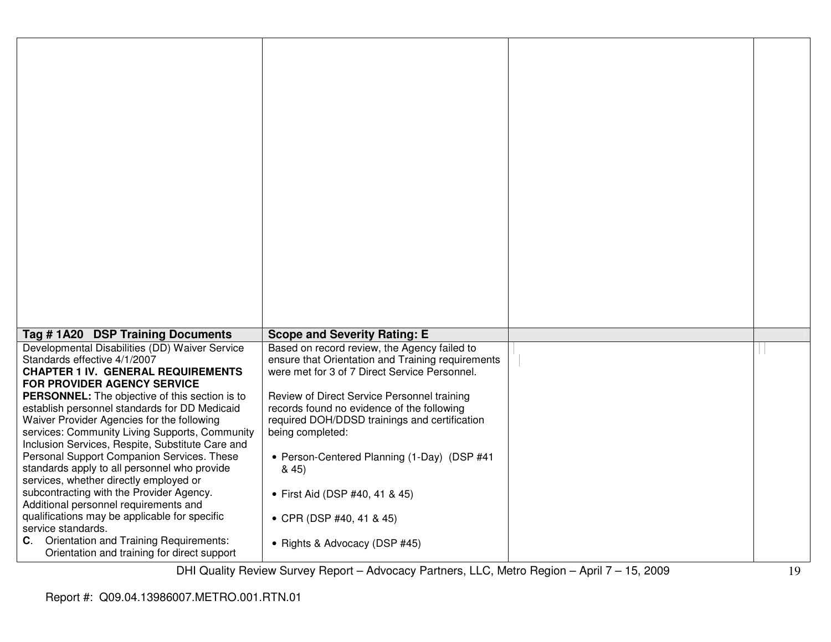| Tag #1A20 DSP Training Documents                                                                                                                                                                                                                           | <b>Scope and Severity Rating: E</b>                                                                                                                            |  |
|------------------------------------------------------------------------------------------------------------------------------------------------------------------------------------------------------------------------------------------------------------|----------------------------------------------------------------------------------------------------------------------------------------------------------------|--|
| Developmental Disabilities (DD) Waiver Service<br>Standards effective 4/1/2007<br><b>CHAPTER 1 IV. GENERAL REQUIREMENTS</b><br><b>FOR PROVIDER AGENCY SERVICE</b>                                                                                          | Based on record review, the Agency failed to<br>ensure that Orientation and Training requirements<br>were met for 3 of 7 Direct Service Personnel.             |  |
| <b>PERSONNEL:</b> The objective of this section is to<br>establish personnel standards for DD Medicaid<br>Waiver Provider Agencies for the following<br>services: Community Living Supports, Community<br>Inclusion Services, Respite, Substitute Care and | Review of Direct Service Personnel training<br>records found no evidence of the following<br>required DOH/DDSD trainings and certification<br>being completed: |  |
| Personal Support Companion Services. These<br>standards apply to all personnel who provide<br>services, whether directly employed or                                                                                                                       | • Person-Centered Planning (1-Day) (DSP #41<br>845                                                                                                             |  |
| subcontracting with the Provider Agency.<br>Additional personnel requirements and<br>qualifications may be applicable for specific<br>service standards.                                                                                                   | • First Aid (DSP #40, 41 & 45)<br>• CPR (DSP #40, 41 & 45)                                                                                                     |  |
| Orientation and Training Requirements:<br>C.<br>Orientation and training for direct support                                                                                                                                                                | • Rights & Advocacy (DSP #45)                                                                                                                                  |  |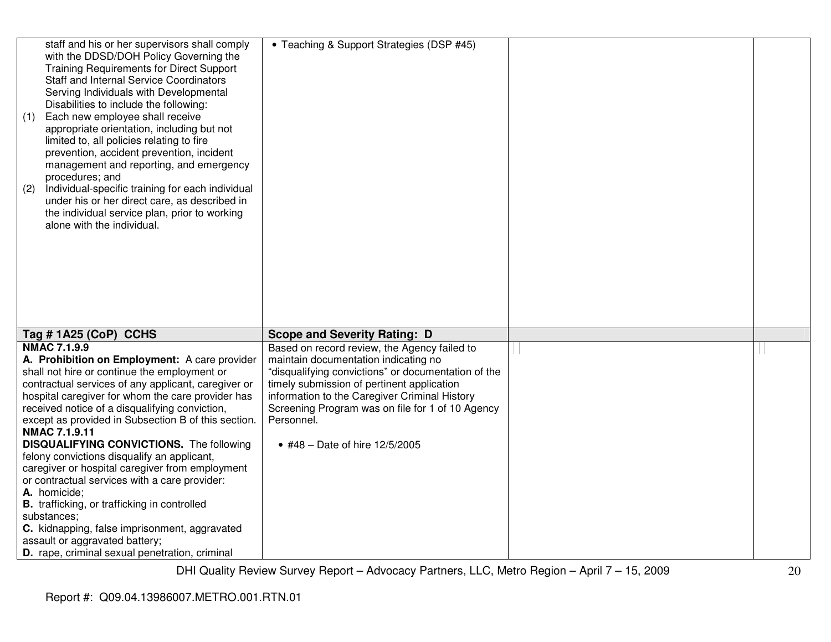| staff and his or her supervisors shall comply<br>with the DDSD/DOH Policy Governing the<br><b>Training Requirements for Direct Support</b><br><b>Staff and Internal Service Coordinators</b><br>Serving Individuals with Developmental<br>Disabilities to include the following:<br>Each new employee shall receive<br>(1)<br>appropriate orientation, including but not<br>limited to, all policies relating to fire<br>prevention, accident prevention, incident<br>management and reporting, and emergency<br>procedures; and<br>Individual-specific training for each individual<br>(2)<br>under his or her direct care, as described in<br>the individual service plan, prior to working<br>alone with the individual.                                                                 | • Teaching & Support Strategies (DSP #45)                                                                                                                                                                                                                                                                                                      |  |
|---------------------------------------------------------------------------------------------------------------------------------------------------------------------------------------------------------------------------------------------------------------------------------------------------------------------------------------------------------------------------------------------------------------------------------------------------------------------------------------------------------------------------------------------------------------------------------------------------------------------------------------------------------------------------------------------------------------------------------------------------------------------------------------------|------------------------------------------------------------------------------------------------------------------------------------------------------------------------------------------------------------------------------------------------------------------------------------------------------------------------------------------------|--|
| Tag #1A25 (CoP) CCHS                                                                                                                                                                                                                                                                                                                                                                                                                                                                                                                                                                                                                                                                                                                                                                        | <b>Scope and Severity Rating: D</b>                                                                                                                                                                                                                                                                                                            |  |
| <b>NMAC 7.1.9.9</b><br>A. Prohibition on Employment: A care provider<br>shall not hire or continue the employment or<br>contractual services of any applicant, caregiver or<br>hospital caregiver for whom the care provider has<br>received notice of a disqualifying conviction,<br>except as provided in Subsection B of this section.<br>NMAC 7.1.9.11<br><b>DISQUALIFYING CONVICTIONS.</b> The following<br>felony convictions disqualify an applicant,<br>caregiver or hospital caregiver from employment<br>or contractual services with a care provider:<br>A. homicide;<br><b>B.</b> trafficking, or trafficking in controlled<br>substances;<br>C. kidnapping, false imprisonment, aggravated<br>assault or aggravated battery;<br>D. rape, criminal sexual penetration, criminal | Based on record review, the Agency failed to<br>maintain documentation indicating no<br>"disqualifying convictions" or documentation of the<br>timely submission of pertinent application<br>information to the Caregiver Criminal History<br>Screening Program was on file for 1 of 10 Agency<br>Personnel.<br>• #48 - Date of hire 12/5/2005 |  |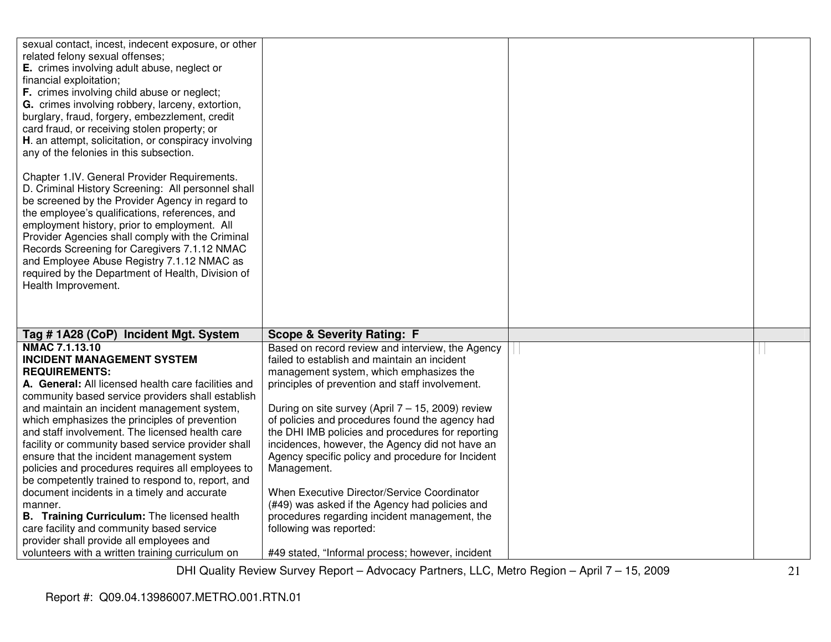| sexual contact, incest, indecent exposure, or other<br>related felony sexual offenses;<br>E. crimes involving adult abuse, neglect or<br>financial exploitation;<br>F. crimes involving child abuse or neglect;<br>G. crimes involving robbery, larceny, extortion,<br>burglary, fraud, forgery, embezzlement, credit<br>card fraud, or receiving stolen property; or<br>H. an attempt, solicitation, or conspiracy involving<br>any of the felonies in this subsection.              |                                                      |  |
|---------------------------------------------------------------------------------------------------------------------------------------------------------------------------------------------------------------------------------------------------------------------------------------------------------------------------------------------------------------------------------------------------------------------------------------------------------------------------------------|------------------------------------------------------|--|
| Chapter 1.IV. General Provider Requirements.<br>D. Criminal History Screening: All personnel shall<br>be screened by the Provider Agency in regard to<br>the employee's qualifications, references, and<br>employment history, prior to employment. All<br>Provider Agencies shall comply with the Criminal<br>Records Screening for Caregivers 7.1.12 NMAC<br>and Employee Abuse Registry 7.1.12 NMAC as<br>required by the Department of Health, Division of<br>Health Improvement. |                                                      |  |
| Tag #1A28 (CoP) Incident Mgt. System                                                                                                                                                                                                                                                                                                                                                                                                                                                  | <b>Scope &amp; Severity Rating: F</b>                |  |
| NMAC 7.1.13.10                                                                                                                                                                                                                                                                                                                                                                                                                                                                        | Based on record review and interview, the Agency     |  |
| <b>INCIDENT MANAGEMENT SYSTEM</b>                                                                                                                                                                                                                                                                                                                                                                                                                                                     | failed to establish and maintain an incident         |  |
| <b>REQUIREMENTS:</b>                                                                                                                                                                                                                                                                                                                                                                                                                                                                  | management system, which emphasizes the              |  |
| A. General: All licensed health care facilities and                                                                                                                                                                                                                                                                                                                                                                                                                                   | principles of prevention and staff involvement.      |  |
| community based service providers shall establish                                                                                                                                                                                                                                                                                                                                                                                                                                     |                                                      |  |
| and maintain an incident management system,                                                                                                                                                                                                                                                                                                                                                                                                                                           | During on site survey (April $7 - 15$ , 2009) review |  |
| which emphasizes the principles of prevention                                                                                                                                                                                                                                                                                                                                                                                                                                         | of policies and procedures found the agency had      |  |
| and staff involvement. The licensed health care                                                                                                                                                                                                                                                                                                                                                                                                                                       | the DHI IMB policies and procedures for reporting    |  |
| facility or community based service provider shall                                                                                                                                                                                                                                                                                                                                                                                                                                    | incidences, however, the Agency did not have an      |  |
| ensure that the incident management system                                                                                                                                                                                                                                                                                                                                                                                                                                            | Agency specific policy and procedure for Incident    |  |
| policies and procedures requires all employees to                                                                                                                                                                                                                                                                                                                                                                                                                                     | Management.                                          |  |
| be competently trained to respond to, report, and                                                                                                                                                                                                                                                                                                                                                                                                                                     |                                                      |  |
| document incidents in a timely and accurate                                                                                                                                                                                                                                                                                                                                                                                                                                           | When Executive Director/Service Coordinator          |  |
| manner.                                                                                                                                                                                                                                                                                                                                                                                                                                                                               | (#49) was asked if the Agency had policies and       |  |
| <b>B.</b> Training Curriculum: The licensed health                                                                                                                                                                                                                                                                                                                                                                                                                                    | procedures regarding incident management, the        |  |
| care facility and community based service                                                                                                                                                                                                                                                                                                                                                                                                                                             | following was reported:                              |  |
| provider shall provide all employees and                                                                                                                                                                                                                                                                                                                                                                                                                                              |                                                      |  |
| volunteers with a written training curriculum on                                                                                                                                                                                                                                                                                                                                                                                                                                      | #49 stated, "Informal process; however, incident     |  |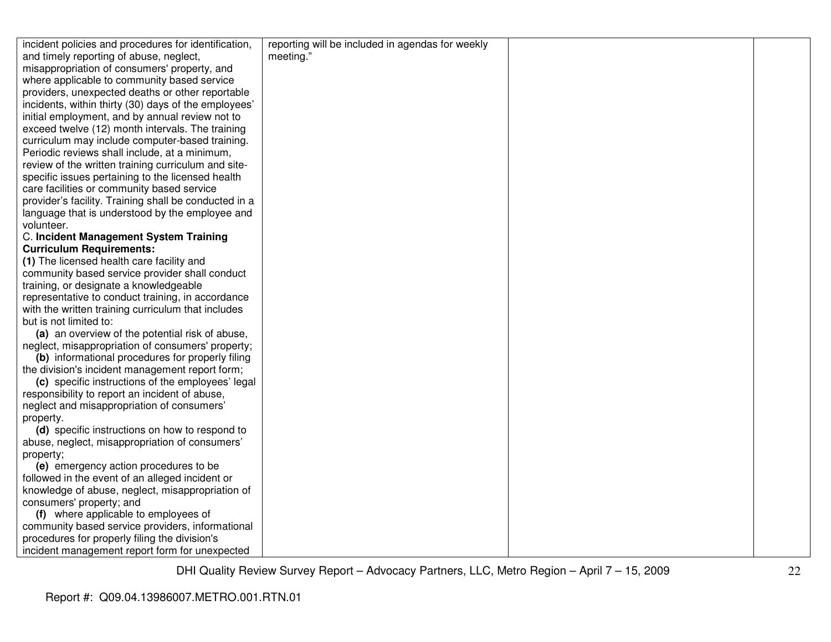| incident policies and procedures for identification,  | reporting will be included in agendas for weekly |  |
|-------------------------------------------------------|--------------------------------------------------|--|
| and timely reporting of abuse, neglect,               | meeting."                                        |  |
| misappropriation of consumers' property, and          |                                                  |  |
| where applicable to community based service           |                                                  |  |
| providers, unexpected deaths or other reportable      |                                                  |  |
| incidents, within thirty (30) days of the employees'  |                                                  |  |
| initial employment, and by annual review not to       |                                                  |  |
| exceed twelve (12) month intervals. The training      |                                                  |  |
| curriculum may include computer-based training.       |                                                  |  |
| Periodic reviews shall include, at a minimum,         |                                                  |  |
| review of the written training curriculum and site-   |                                                  |  |
| specific issues pertaining to the licensed health     |                                                  |  |
| care facilities or community based service            |                                                  |  |
| provider's facility. Training shall be conducted in a |                                                  |  |
| language that is understood by the employee and       |                                                  |  |
| volunteer.                                            |                                                  |  |
| C. Incident Management System Training                |                                                  |  |
| <b>Curriculum Requirements:</b>                       |                                                  |  |
| (1) The licensed health care facility and             |                                                  |  |
| community based service provider shall conduct        |                                                  |  |
| training, or designate a knowledgeable                |                                                  |  |
| representative to conduct training, in accordance     |                                                  |  |
| with the written training curriculum that includes    |                                                  |  |
| but is not limited to:                                |                                                  |  |
| (a) an overview of the potential risk of abuse,       |                                                  |  |
| neglect, misappropriation of consumers' property;     |                                                  |  |
| (b) informational procedures for properly filing      |                                                  |  |
| the division's incident management report form;       |                                                  |  |
| (c) specific instructions of the employees' legal     |                                                  |  |
| responsibility to report an incident of abuse,        |                                                  |  |
| neglect and misappropriation of consumers'            |                                                  |  |
| property.                                             |                                                  |  |
| (d) specific instructions on how to respond to        |                                                  |  |
| abuse, neglect, misappropriation of consumers'        |                                                  |  |
| property;                                             |                                                  |  |
| (e) emergency action procedures to be                 |                                                  |  |
| followed in the event of an alleged incident or       |                                                  |  |
| knowledge of abuse, neglect, misappropriation of      |                                                  |  |
| consumers' property; and                              |                                                  |  |
| (f) where applicable to employees of                  |                                                  |  |
| community based service providers, informational      |                                                  |  |
| procedures for properly filing the division's         |                                                  |  |
| incident management report form for unexpected        |                                                  |  |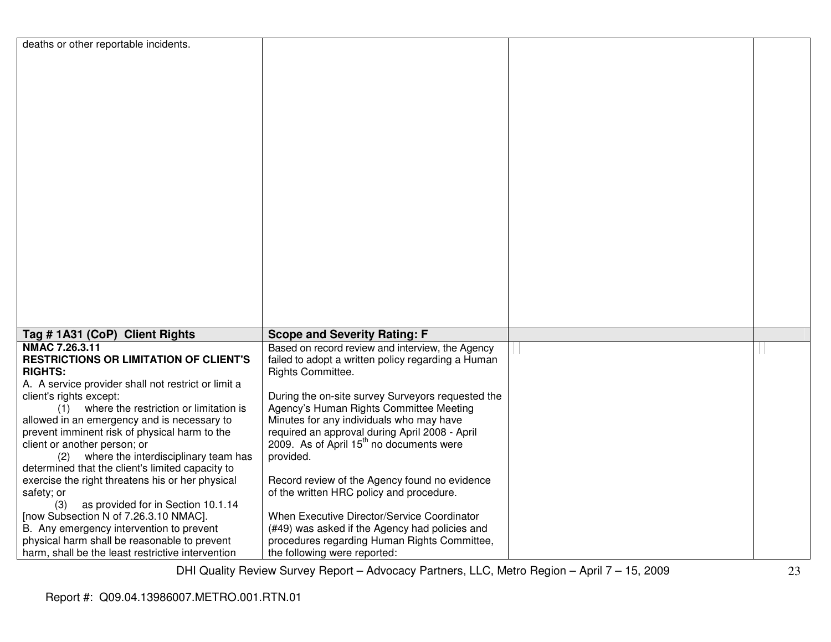| deaths or other reportable incidents.               |                                                      |  |
|-----------------------------------------------------|------------------------------------------------------|--|
|                                                     |                                                      |  |
|                                                     |                                                      |  |
|                                                     |                                                      |  |
|                                                     |                                                      |  |
|                                                     |                                                      |  |
|                                                     |                                                      |  |
|                                                     |                                                      |  |
|                                                     |                                                      |  |
|                                                     |                                                      |  |
|                                                     |                                                      |  |
|                                                     |                                                      |  |
|                                                     |                                                      |  |
|                                                     |                                                      |  |
|                                                     |                                                      |  |
|                                                     |                                                      |  |
|                                                     |                                                      |  |
|                                                     |                                                      |  |
|                                                     |                                                      |  |
|                                                     |                                                      |  |
|                                                     |                                                      |  |
|                                                     |                                                      |  |
|                                                     |                                                      |  |
|                                                     |                                                      |  |
|                                                     |                                                      |  |
|                                                     |                                                      |  |
| Tag # 1A31 (CoP) Client Rights                      | <b>Scope and Severity Rating: F</b>                  |  |
| NMAC 7.26.3.11                                      | Based on record review and interview, the Agency     |  |
| <b>RESTRICTIONS OR LIMITATION OF CLIENT'S</b>       | failed to adopt a written policy regarding a Human   |  |
| <b>RIGHTS:</b>                                      | Rights Committee.                                    |  |
|                                                     |                                                      |  |
| A. A service provider shall not restrict or limit a |                                                      |  |
| client's rights except:                             | During the on-site survey Surveyors requested the    |  |
| where the restriction or limitation is<br>(1)       | Agency's Human Rights Committee Meeting              |  |
| allowed in an emergency and is necessary to         | Minutes for any individuals who may have             |  |
| prevent imminent risk of physical harm to the       | required an approval during April 2008 - April       |  |
| client or another person; or                        | 2009. As of April 15 <sup>th</sup> no documents were |  |
| where the interdisciplinary team has<br>(2)         | provided.                                            |  |
| determined that the client's limited capacity to    |                                                      |  |
| exercise the right threatens his or her physical    | Record review of the Agency found no evidence        |  |
| safety; or                                          | of the written HRC policy and procedure.             |  |
| (3)<br>as provided for in Section 10.1.14           |                                                      |  |
| [now Subsection N of 7.26.3.10 NMAC].               | When Executive Director/Service Coordinator          |  |
|                                                     |                                                      |  |
| B. Any emergency intervention to prevent            | (#49) was asked if the Agency had policies and       |  |
| physical harm shall be reasonable to prevent        | procedures regarding Human Rights Committee,         |  |
| harm, shall be the least restrictive intervention   | the following were reported:                         |  |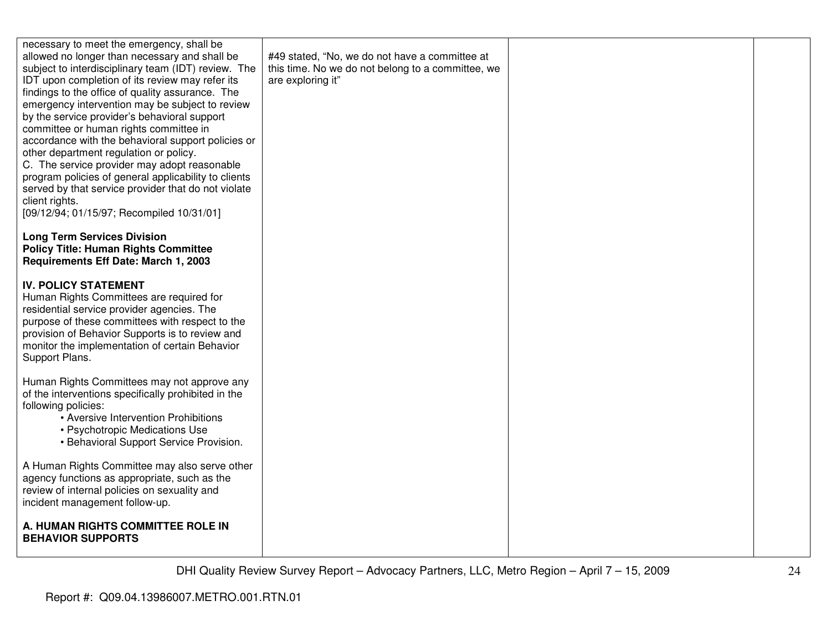| necessary to meet the emergency, shall be<br>allowed no longer than necessary and shall be<br>subject to interdisciplinary team (IDT) review. The<br>IDT upon completion of its review may refer its<br>findings to the office of quality assurance. The<br>emergency intervention may be subject to review<br>by the service provider's behavioral support<br>committee or human rights committee in<br>accordance with the behavioral support policies or<br>other department regulation or policy.<br>C. The service provider may adopt reasonable<br>program policies of general applicability to clients<br>served by that service provider that do not violate<br>client rights.<br>[09/12/94; 01/15/97; Recompiled 10/31/01] | #49 stated, "No, we do not have a committee at<br>this time. No we do not belong to a committee, we<br>are exploring it" |  |
|-------------------------------------------------------------------------------------------------------------------------------------------------------------------------------------------------------------------------------------------------------------------------------------------------------------------------------------------------------------------------------------------------------------------------------------------------------------------------------------------------------------------------------------------------------------------------------------------------------------------------------------------------------------------------------------------------------------------------------------|--------------------------------------------------------------------------------------------------------------------------|--|
| <b>Long Term Services Division</b><br><b>Policy Title: Human Rights Committee</b><br>Requirements Eff Date: March 1, 2003                                                                                                                                                                                                                                                                                                                                                                                                                                                                                                                                                                                                           |                                                                                                                          |  |
| <b>IV. POLICY STATEMENT</b><br>Human Rights Committees are required for<br>residential service provider agencies. The<br>purpose of these committees with respect to the<br>provision of Behavior Supports is to review and<br>monitor the implementation of certain Behavior<br>Support Plans.                                                                                                                                                                                                                                                                                                                                                                                                                                     |                                                                                                                          |  |
| Human Rights Committees may not approve any<br>of the interventions specifically prohibited in the<br>following policies:<br>• Aversive Intervention Prohibitions<br>• Psychotropic Medications Use<br>• Behavioral Support Service Provision.                                                                                                                                                                                                                                                                                                                                                                                                                                                                                      |                                                                                                                          |  |
| A Human Rights Committee may also serve other<br>agency functions as appropriate, such as the<br>review of internal policies on sexuality and<br>incident management follow-up.                                                                                                                                                                                                                                                                                                                                                                                                                                                                                                                                                     |                                                                                                                          |  |
| A. HUMAN RIGHTS COMMITTEE ROLE IN<br><b>BEHAVIOR SUPPORTS</b>                                                                                                                                                                                                                                                                                                                                                                                                                                                                                                                                                                                                                                                                       |                                                                                                                          |  |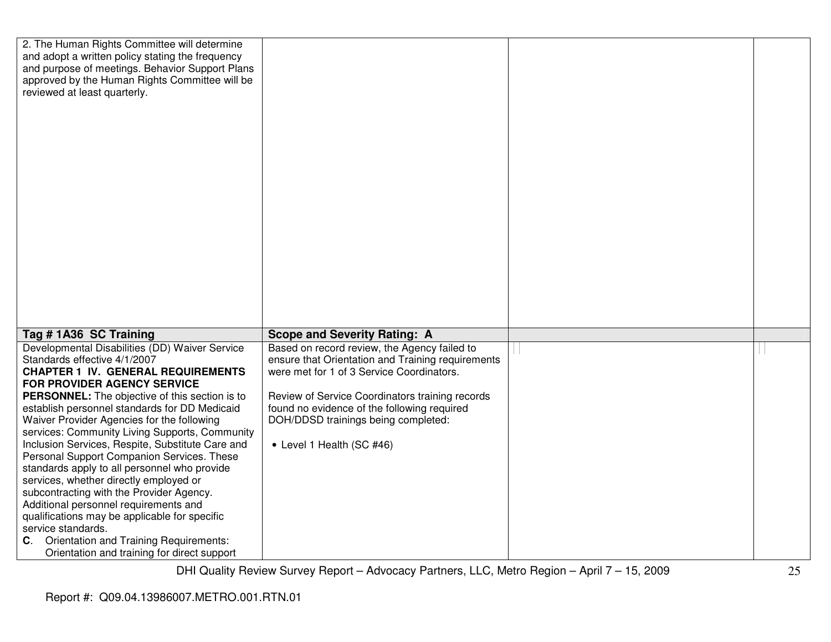| 2. The Human Rights Committee will determine<br>and adopt a written policy stating the frequency |                                                   |  |
|--------------------------------------------------------------------------------------------------|---------------------------------------------------|--|
| and purpose of meetings. Behavior Support Plans                                                  |                                                   |  |
| approved by the Human Rights Committee will be                                                   |                                                   |  |
|                                                                                                  |                                                   |  |
| reviewed at least quarterly.                                                                     |                                                   |  |
|                                                                                                  |                                                   |  |
|                                                                                                  |                                                   |  |
|                                                                                                  |                                                   |  |
|                                                                                                  |                                                   |  |
|                                                                                                  |                                                   |  |
|                                                                                                  |                                                   |  |
|                                                                                                  |                                                   |  |
|                                                                                                  |                                                   |  |
|                                                                                                  |                                                   |  |
|                                                                                                  |                                                   |  |
|                                                                                                  |                                                   |  |
|                                                                                                  |                                                   |  |
|                                                                                                  |                                                   |  |
|                                                                                                  |                                                   |  |
|                                                                                                  |                                                   |  |
|                                                                                                  |                                                   |  |
|                                                                                                  |                                                   |  |
|                                                                                                  |                                                   |  |
|                                                                                                  |                                                   |  |
| Tag # 1A36 SC Training                                                                           | <b>Scope and Severity Rating: A</b>               |  |
| Developmental Disabilities (DD) Waiver Service                                                   | Based on record review, the Agency failed to      |  |
| Standards effective 4/1/2007                                                                     | ensure that Orientation and Training requirements |  |
| <b>CHAPTER 1 IV. GENERAL REQUIREMENTS</b>                                                        | were met for 1 of 3 Service Coordinators.         |  |
| <b>FOR PROVIDER AGENCY SERVICE</b>                                                               |                                                   |  |
| <b>PERSONNEL:</b> The objective of this section is to                                            | Review of Service Coordinators training records   |  |
| establish personnel standards for DD Medicaid                                                    | found no evidence of the following required       |  |
| Waiver Provider Agencies for the following                                                       | DOH/DDSD trainings being completed:               |  |
| services: Community Living Supports, Community                                                   |                                                   |  |
| Inclusion Services, Respite, Substitute Care and                                                 | • Level 1 Health (SC #46)                         |  |
| Personal Support Companion Services. These                                                       |                                                   |  |
| standards apply to all personnel who provide                                                     |                                                   |  |
| services, whether directly employed or                                                           |                                                   |  |
| subcontracting with the Provider Agency.                                                         |                                                   |  |
| Additional personnel requirements and                                                            |                                                   |  |
| qualifications may be applicable for specific                                                    |                                                   |  |
| service standards.                                                                               |                                                   |  |
| <b>C.</b> Orientation and Training Requirements:                                                 |                                                   |  |
|                                                                                                  |                                                   |  |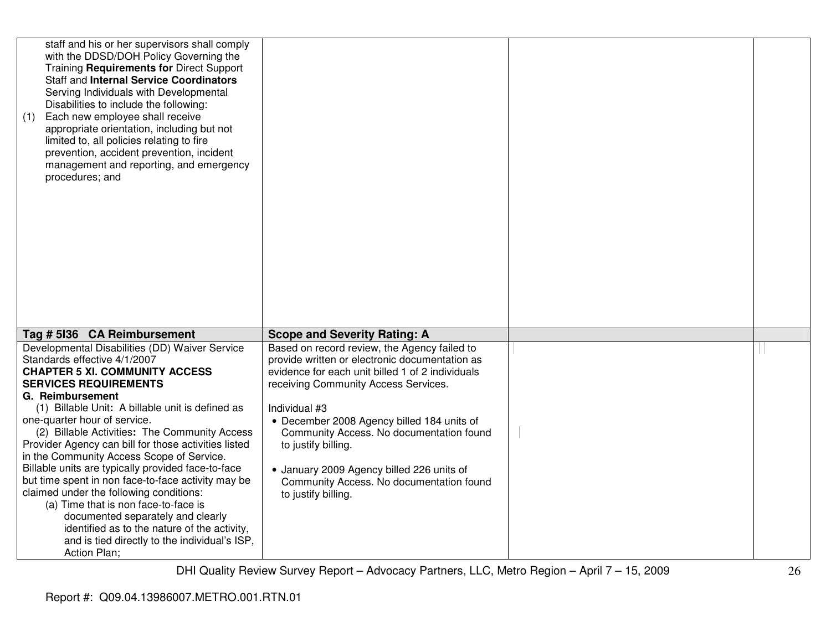| staff and his or her supervisors shall comply<br>with the DDSD/DOH Policy Governing the<br>Training Requirements for Direct Support<br><b>Staff and Internal Service Coordinators</b><br>Serving Individuals with Developmental<br>Disabilities to include the following:<br>Each new employee shall receive<br>(1)<br>appropriate orientation, including but not<br>limited to, all policies relating to fire<br>prevention, accident prevention, incident<br>management and reporting, and emergency<br>procedures; and                                                                                                                                                                                                                                                  |                                                                                                                                                                                                                                                                                                                                                                                                                                              |  |
|----------------------------------------------------------------------------------------------------------------------------------------------------------------------------------------------------------------------------------------------------------------------------------------------------------------------------------------------------------------------------------------------------------------------------------------------------------------------------------------------------------------------------------------------------------------------------------------------------------------------------------------------------------------------------------------------------------------------------------------------------------------------------|----------------------------------------------------------------------------------------------------------------------------------------------------------------------------------------------------------------------------------------------------------------------------------------------------------------------------------------------------------------------------------------------------------------------------------------------|--|
| Tag # 5136 CA Reimbursement                                                                                                                                                                                                                                                                                                                                                                                                                                                                                                                                                                                                                                                                                                                                                | <b>Scope and Severity Rating: A</b>                                                                                                                                                                                                                                                                                                                                                                                                          |  |
| Developmental Disabilities (DD) Waiver Service<br>Standards effective 4/1/2007<br><b>CHAPTER 5 XI. COMMUNITY ACCESS</b><br><b>SERVICES REQUIREMENTS</b><br>G. Reimbursement<br>(1) Billable Unit: A billable unit is defined as<br>one-quarter hour of service.<br>(2) Billable Activities: The Community Access<br>Provider Agency can bill for those activities listed<br>in the Community Access Scope of Service.<br>Billable units are typically provided face-to-face<br>but time spent in non face-to-face activity may be<br>claimed under the following conditions:<br>(a) Time that is non face-to-face is<br>documented separately and clearly<br>identified as to the nature of the activity,<br>and is tied directly to the individual's ISP,<br>Action Plan; | Based on record review, the Agency failed to<br>provide written or electronic documentation as<br>evidence for each unit billed 1 of 2 individuals<br>receiving Community Access Services.<br>Individual #3<br>• December 2008 Agency billed 184 units of<br>Community Access. No documentation found<br>to justify billing.<br>• January 2009 Agency billed 226 units of<br>Community Access. No documentation found<br>to justify billing. |  |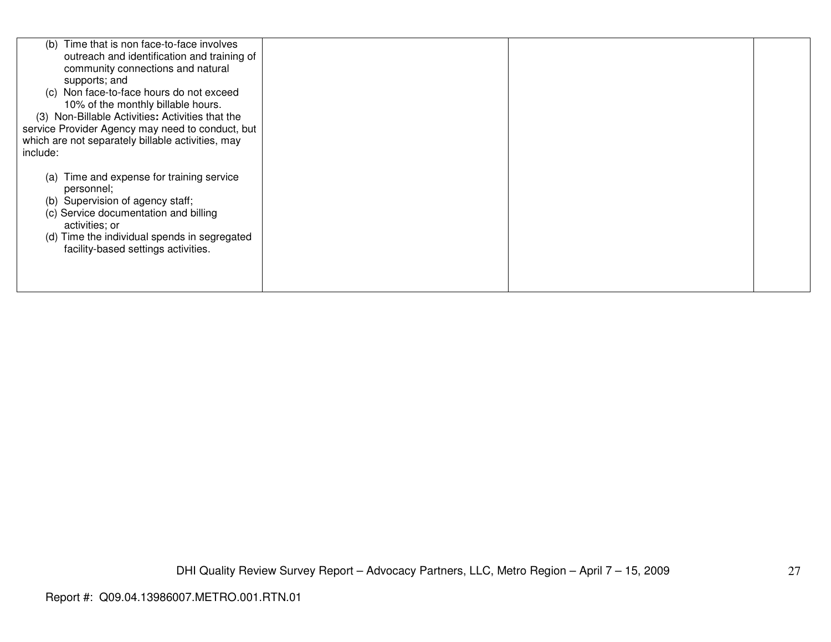| Time that is non face-to-face involves<br>(b)     |  |  |
|---------------------------------------------------|--|--|
| outreach and identification and training of       |  |  |
| community connections and natural                 |  |  |
| supports; and                                     |  |  |
| Non face-to-face hours do not exceed<br>(C)       |  |  |
|                                                   |  |  |
| 10% of the monthly billable hours.                |  |  |
| (3) Non-Billable Activities: Activities that the  |  |  |
| service Provider Agency may need to conduct, but  |  |  |
| which are not separately billable activities, may |  |  |
| include:                                          |  |  |
|                                                   |  |  |
|                                                   |  |  |
| Time and expense for training service<br>(a)      |  |  |
| personnel;                                        |  |  |
| Supervision of agency staff;<br>(b)               |  |  |
| (c) Service documentation and billing             |  |  |
| activities; or                                    |  |  |
| Time the individual spends in segregated<br>(d)   |  |  |
|                                                   |  |  |
| facility-based settings activities.               |  |  |
|                                                   |  |  |
|                                                   |  |  |
|                                                   |  |  |
|                                                   |  |  |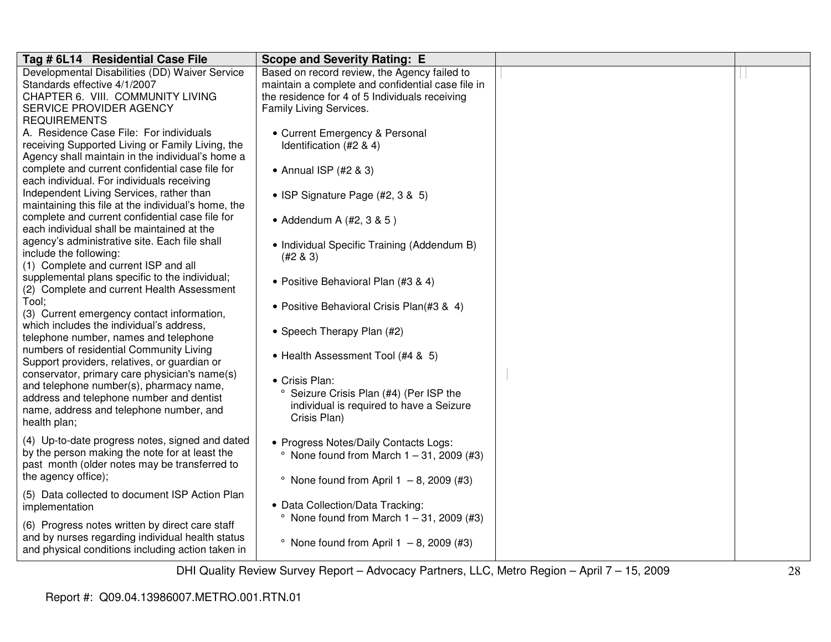| Tag # 6L14 Residential Case File                    | <b>Scope and Severity Rating: E</b>                |  |
|-----------------------------------------------------|----------------------------------------------------|--|
| Developmental Disabilities (DD) Waiver Service      | Based on record review, the Agency failed to       |  |
| Standards effective 4/1/2007                        | maintain a complete and confidential case file in  |  |
| CHAPTER 6. VIII. COMMUNITY LIVING                   | the residence for 4 of 5 Individuals receiving     |  |
| SERVICE PROVIDER AGENCY                             | Family Living Services.                            |  |
| <b>REQUIREMENTS</b>                                 |                                                    |  |
| A. Residence Case File: For individuals             | • Current Emergency & Personal                     |  |
| receiving Supported Living or Family Living, the    | Identification (#2 & 4)                            |  |
| Agency shall maintain in the individual's home a    |                                                    |  |
| complete and current confidential case file for     | • Annual ISP (#2 & 3)                              |  |
| each individual. For individuals receiving          |                                                    |  |
| Independent Living Services, rather than            | • ISP Signature Page (#2, 3 & 5)                   |  |
| maintaining this file at the individual's home, the |                                                    |  |
| complete and current confidential case file for     | • Addendum A $(#2, 3, 8, 5)$                       |  |
| each individual shall be maintained at the          |                                                    |  |
| agency's administrative site. Each file shall       | • Individual Specific Training (Addendum B)        |  |
| include the following:                              | $(#2 \& 3)$                                        |  |
| (1) Complete and current ISP and all                |                                                    |  |
| supplemental plans specific to the individual;      | • Positive Behavioral Plan (#3 & 4)                |  |
| (2) Complete and current Health Assessment          |                                                    |  |
| Tool:                                               |                                                    |  |
| (3) Current emergency contact information,          | • Positive Behavioral Crisis Plan(#3 & 4)          |  |
| which includes the individual's address,            |                                                    |  |
| telephone number, names and telephone               | • Speech Therapy Plan (#2)                         |  |
| numbers of residential Community Living             |                                                    |  |
| Support providers, relatives, or guardian or        | • Health Assessment Tool (#4 & 5)                  |  |
| conservator, primary care physician's name(s)       |                                                    |  |
| and telephone number(s), pharmacy name,             | • Crisis Plan:                                     |  |
| address and telephone number and dentist            | Seizure Crisis Plan (#4) (Per ISP the<br>$\circ$   |  |
| name, address and telephone number, and             | individual is required to have a Seizure           |  |
| health plan;                                        | Crisis Plan)                                       |  |
|                                                     |                                                    |  |
| (4) Up-to-date progress notes, signed and dated     | • Progress Notes/Daily Contacts Logs:              |  |
| by the person making the note for at least the      | $^{\circ}$ None found from March 1 - 31, 2009 (#3) |  |
| past month (older notes may be transferred to       |                                                    |  |
| the agency office);                                 | $^{\circ}$ None found from April 1 - 8, 2009 (#3)  |  |
| (5) Data collected to document ISP Action Plan      |                                                    |  |
| implementation                                      | • Data Collection/Data Tracking:                   |  |
|                                                     | $^{\circ}$ None found from March 1 - 31, 2009 (#3) |  |
| (6) Progress notes written by direct care staff     |                                                    |  |
| and by nurses regarding individual health status    | $^{\circ}$ None found from April 1 - 8, 2009 (#3)  |  |
| and physical conditions including action taken in   |                                                    |  |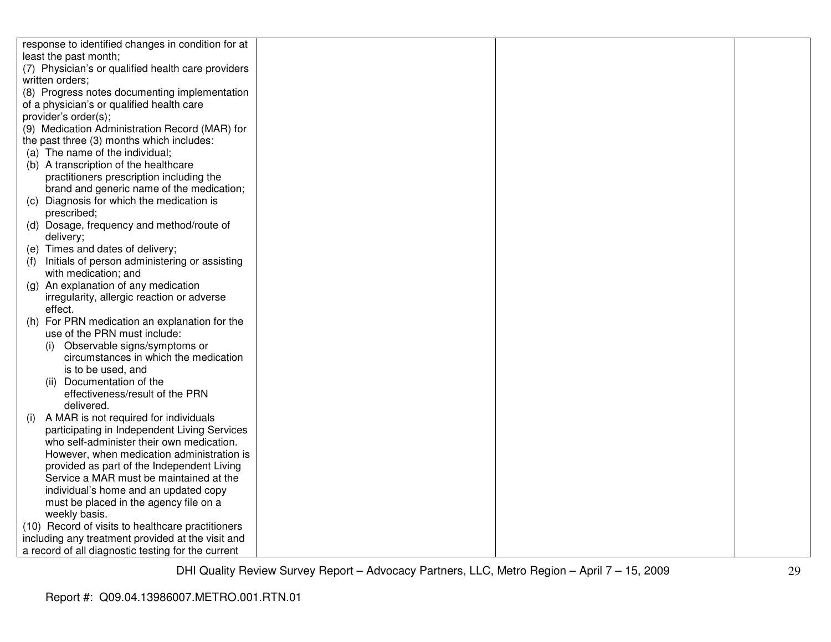| response to identified changes in condition for at |  |
|----------------------------------------------------|--|
| least the past month;                              |  |
| (7) Physician's or qualified health care providers |  |
| written orders;                                    |  |
| (8) Progress notes documenting implementation      |  |
| of a physician's or qualified health care          |  |
| provider's order(s);                               |  |
| (9) Medication Administration Record (MAR) for     |  |
| the past three (3) months which includes:          |  |
| (a) The name of the individual;                    |  |
| (b) A transcription of the healthcare              |  |
| practitioners prescription including the           |  |
| brand and generic name of the medication;          |  |
| Diagnosis for which the medication is<br>(C)       |  |
| prescribed;                                        |  |
| (d) Dosage, frequency and method/route of          |  |
| delivery;                                          |  |
| (e) Times and dates of delivery;                   |  |
| Initials of person administering or assisting      |  |
| with medication; and                               |  |
| (g) An explanation of any medication               |  |
| irregularity, allergic reaction or adverse         |  |
| effect.                                            |  |
| (h) For PRN medication an explanation for the      |  |
| use of the PRN must include:                       |  |
| Observable signs/symptoms or<br>(i)                |  |
| circumstances in which the medication              |  |
| is to be used, and                                 |  |
| (ii) Documentation of the                          |  |
| effectiveness/result of the PRN                    |  |
| delivered.                                         |  |
| A MAR is not required for individuals<br>(i)       |  |
| participating in Independent Living Services       |  |
| who self-administer their own medication.          |  |
| However, when medication administration is         |  |
| provided as part of the Independent Living         |  |
| Service a MAR must be maintained at the            |  |
| individual's home and an updated copy              |  |
| must be placed in the agency file on a             |  |
| weekly basis.                                      |  |
| (10) Record of visits to healthcare practitioners  |  |
| including any treatment provided at the visit and  |  |
| a record of all diagnostic testing for the current |  |